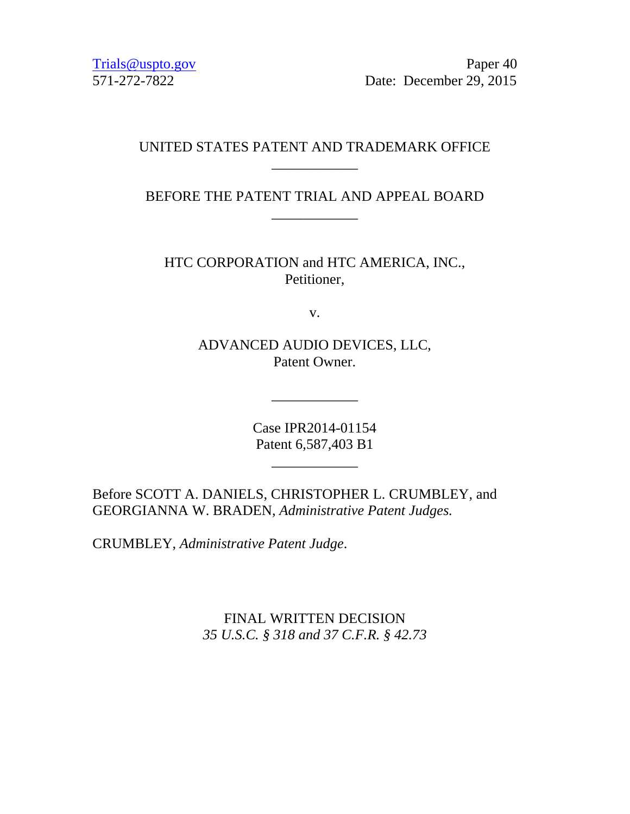Trials@uspto.gov Paper 40 571-272-7822 Date: December 29, 2015

#### UNITED STATES PATENT AND TRADEMARK OFFICE \_\_\_\_\_\_\_\_\_\_\_\_

BEFORE THE PATENT TRIAL AND APPEAL BOARD \_\_\_\_\_\_\_\_\_\_\_\_

HTC CORPORATION and HTC AMERICA, INC., Petitioner,

v.

ADVANCED AUDIO DEVICES, LLC, Patent Owner.

\_\_\_\_\_\_\_\_\_\_\_\_

Case IPR2014-01154 Patent 6,587,403 B1

\_\_\_\_\_\_\_\_\_\_\_\_

Before SCOTT A. DANIELS, CHRISTOPHER L. CRUMBLEY, and GEORGIANNA W. BRADEN, *Administrative Patent Judges.*

CRUMBLEY, *Administrative Patent Judge*.

FINAL WRITTEN DECISION *35 U.S.C. § 318 and 37 C.F.R. § 42.73*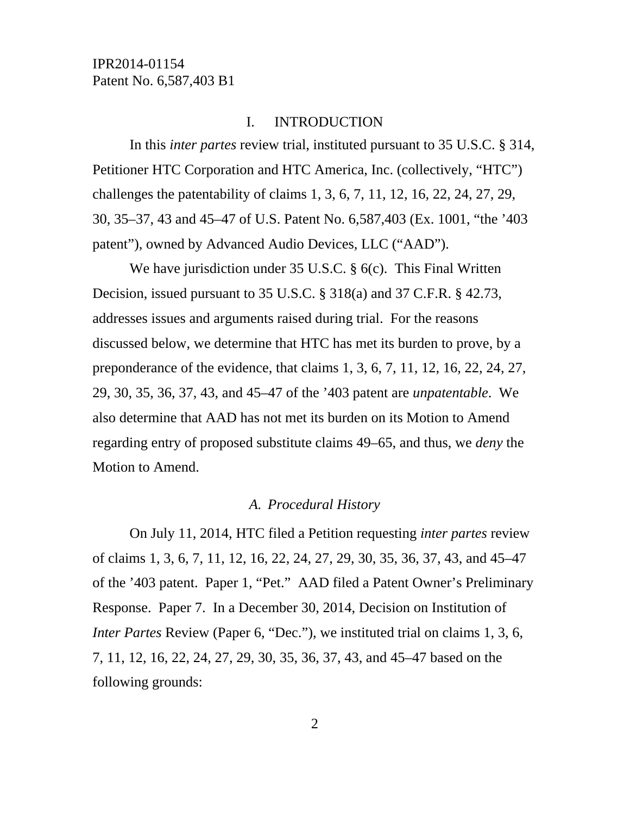#### I. INTRODUCTION

In this *inter partes* review trial, instituted pursuant to 35 U.S.C. § 314, Petitioner HTC Corporation and HTC America, Inc. (collectively, "HTC") challenges the patentability of claims 1, 3, 6, 7, 11, 12, 16, 22, 24, 27, 29, 30, 35–37, 43 and 45–47 of U.S. Patent No. 6,587,403 (Ex. 1001, "the '403 patent"), owned by Advanced Audio Devices, LLC ("AAD").

We have jurisdiction under 35 U.S.C. § 6(c). This Final Written Decision, issued pursuant to 35 U.S.C. § 318(a) and 37 C.F.R. § 42.73, addresses issues and arguments raised during trial. For the reasons discussed below, we determine that HTC has met its burden to prove, by a preponderance of the evidence, that claims 1, 3, 6, 7, 11, 12, 16, 22, 24, 27, 29, 30, 35, 36, 37, 43, and 45–47 of the '403 patent are *unpatentable*. We also determine that AAD has not met its burden on its Motion to Amend regarding entry of proposed substitute claims 49–65, and thus, we *deny* the Motion to Amend.

#### *A. Procedural History*

On July 11, 2014, HTC filed a Petition requesting *inter partes* review of claims 1, 3, 6, 7, 11, 12, 16, 22, 24, 27, 29, 30, 35, 36, 37, 43, and 45–47 of the '403 patent. Paper 1, "Pet." AAD filed a Patent Owner's Preliminary Response. Paper 7. In a December 30, 2014, Decision on Institution of *Inter Partes* Review (Paper 6, "Dec."), we instituted trial on claims 1, 3, 6, 7, 11, 12, 16, 22, 24, 27, 29, 30, 35, 36, 37, 43, and 45–47 based on the following grounds: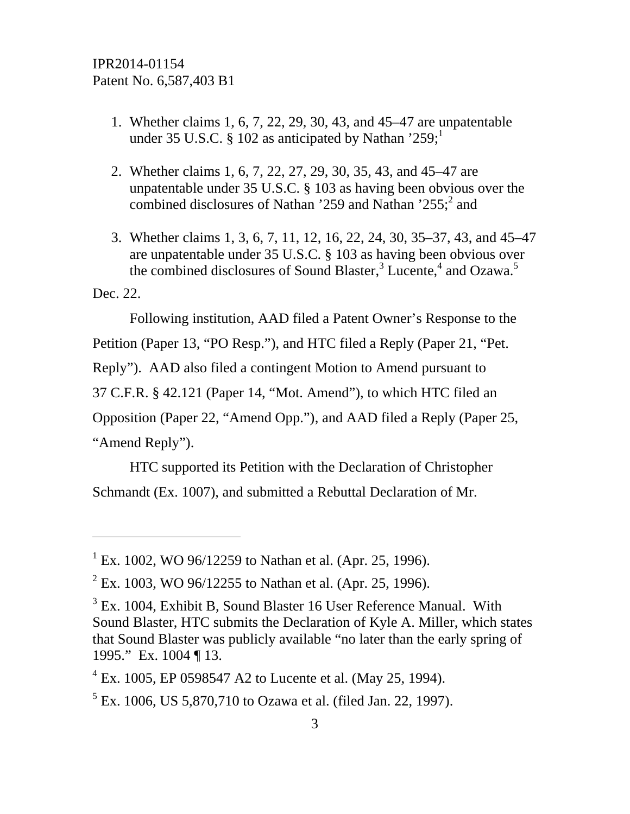- 1. Whether claims 1, 6, 7, 22, 29, 30, 43, and 45–47 are unpatentable under 35 U.S.C. § 102 as anticipated by Nathan '259;<sup>1</sup>
- 2. Whether claims 1, 6, 7, 22, 27, 29, 30, 35, 43, and 45–47 are unpatentable under 35 U.S.C. § 103 as having been obvious over the combined disclosures of Nathan '259 and Nathan '255; $^2$  and
- 3. Whether claims 1, 3, 6, 7, 11, 12, 16, 22, 24, 30, 35–37, 43, and 45–47 are unpatentable under 35 U.S.C. § 103 as having been obvious over the combined disclosures of Sound Blaster, $3$  Lucente,<sup>4</sup> and Ozawa.<sup>5</sup>

Dec. 22.

-

Following institution, AAD filed a Patent Owner's Response to the Petition (Paper 13, "PO Resp."), and HTC filed a Reply (Paper 21, "Pet. Reply"). AAD also filed a contingent Motion to Amend pursuant to 37 C.F.R. § 42.121 (Paper 14, "Mot. Amend"), to which HTC filed an Opposition (Paper 22, "Amend Opp."), and AAD filed a Reply (Paper 25, "Amend Reply").

HTC supported its Petition with the Declaration of Christopher Schmandt (Ex. 1007), and submitted a Rebuttal Declaration of Mr.

<sup>&</sup>lt;sup>1</sup> Ex. 1002, WO 96/12259 to Nathan et al. (Apr. 25, 1996).

 $^{2}$  Ex. 1003, WO 96/12255 to Nathan et al. (Apr. 25, 1996).

 $3$  Ex. 1004, Exhibit B, Sound Blaster 16 User Reference Manual. With Sound Blaster, HTC submits the Declaration of Kyle A. Miller, which states that Sound Blaster was publicly available "no later than the early spring of 1995." Ex. 1004 ¶ 13.

 $4$  Ex. 1005, EP 0598547 A2 to Lucente et al. (May 25, 1994).

<sup>&</sup>lt;sup>5</sup> Ex. 1006, US 5,870,710 to Ozawa et al. (filed Jan. 22, 1997).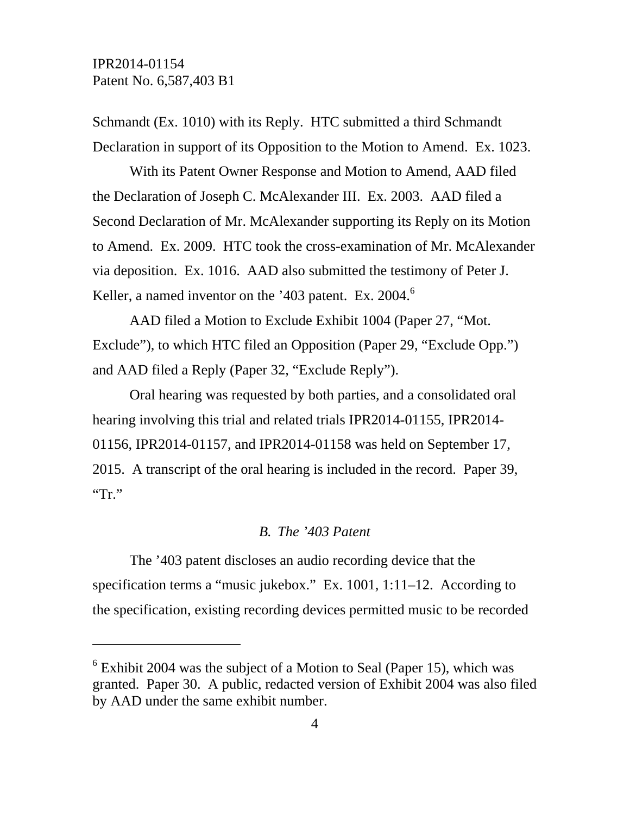l

Schmandt (Ex. 1010) with its Reply. HTC submitted a third Schmandt Declaration in support of its Opposition to the Motion to Amend. Ex. 1023.

With its Patent Owner Response and Motion to Amend, AAD filed the Declaration of Joseph C. McAlexander III. Ex. 2003. AAD filed a Second Declaration of Mr. McAlexander supporting its Reply on its Motion to Amend. Ex. 2009. HTC took the cross-examination of Mr. McAlexander via deposition. Ex. 1016. AAD also submitted the testimony of Peter J. Keller, a named inventor on the '403 patent. Ex. 2004.<sup>6</sup>

AAD filed a Motion to Exclude Exhibit 1004 (Paper 27, "Mot. Exclude"), to which HTC filed an Opposition (Paper 29, "Exclude Opp.") and AAD filed a Reply (Paper 32, "Exclude Reply").

Oral hearing was requested by both parties, and a consolidated oral hearing involving this trial and related trials IPR2014-01155, IPR2014- 01156, IPR2014-01157, and IPR2014-01158 was held on September 17, 2015. A transcript of the oral hearing is included in the record. Paper 39,  $T^{\cdot}$ 

#### *B. The '403 Patent*

The '403 patent discloses an audio recording device that the specification terms a "music jukebox." Ex. 1001, 1:11–12. According to the specification, existing recording devices permitted music to be recorded

 $6$  Exhibit 2004 was the subject of a Motion to Seal (Paper 15), which was granted. Paper 30. A public, redacted version of Exhibit 2004 was also filed by AAD under the same exhibit number.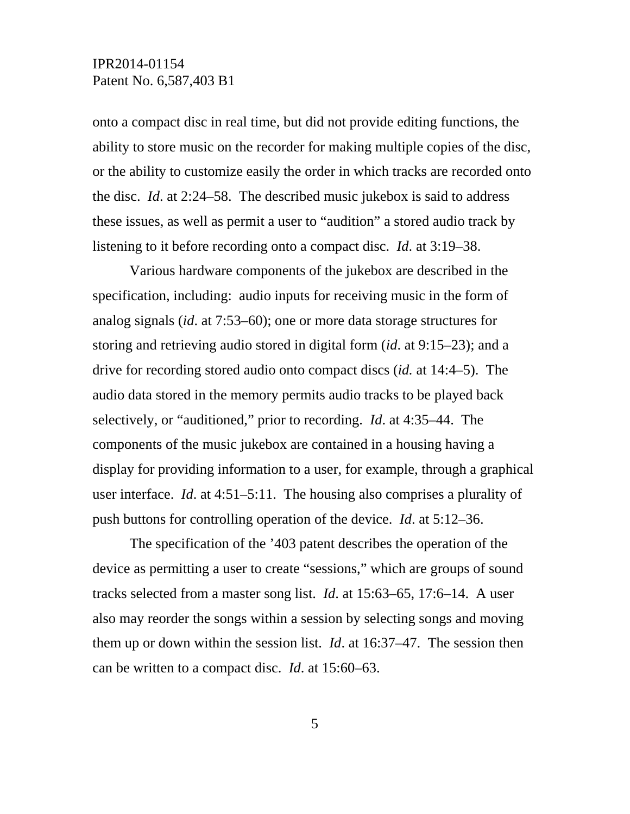onto a compact disc in real time, but did not provide editing functions, the ability to store music on the recorder for making multiple copies of the disc, or the ability to customize easily the order in which tracks are recorded onto the disc. *Id*. at 2:24–58. The described music jukebox is said to address these issues, as well as permit a user to "audition" a stored audio track by listening to it before recording onto a compact disc. *Id*. at 3:19–38.

Various hardware components of the jukebox are described in the specification, including: audio inputs for receiving music in the form of analog signals (*id*. at 7:53–60); one or more data storage structures for storing and retrieving audio stored in digital form (*id*. at 9:15–23); and a drive for recording stored audio onto compact discs (*id.* at 14:4–5). The audio data stored in the memory permits audio tracks to be played back selectively, or "auditioned," prior to recording. *Id*. at 4:35–44. The components of the music jukebox are contained in a housing having a display for providing information to a user, for example, through a graphical user interface. *Id*. at 4:51–5:11. The housing also comprises a plurality of push buttons for controlling operation of the device. *Id*. at 5:12–36.

The specification of the '403 patent describes the operation of the device as permitting a user to create "sessions," which are groups of sound tracks selected from a master song list. *Id*. at 15:63–65, 17:6–14. A user also may reorder the songs within a session by selecting songs and moving them up or down within the session list. *Id*. at 16:37–47. The session then can be written to a compact disc. *Id*. at 15:60–63.

5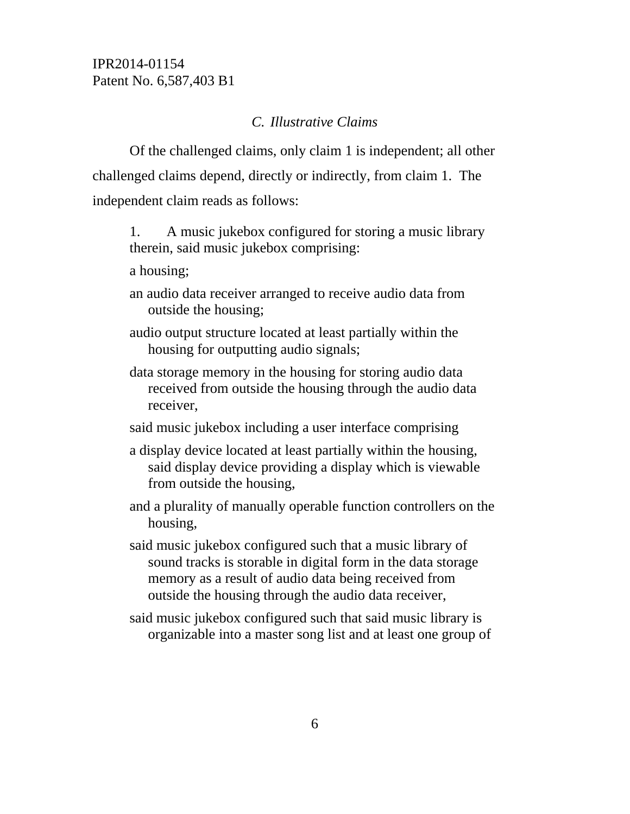#### *C. Illustrative Claims*

Of the challenged claims, only claim 1 is independent; all other challenged claims depend, directly or indirectly, from claim 1. The independent claim reads as follows:

- 1. A music jukebox configured for storing a music library therein, said music jukebox comprising:
- a housing;
- an audio data receiver arranged to receive audio data from outside the housing;
- audio output structure located at least partially within the housing for outputting audio signals;
- data storage memory in the housing for storing audio data received from outside the housing through the audio data receiver,
- said music jukebox including a user interface comprising
- a display device located at least partially within the housing, said display device providing a display which is viewable from outside the housing,
- and a plurality of manually operable function controllers on the housing,
- said music jukebox configured such that a music library of sound tracks is storable in digital form in the data storage memory as a result of audio data being received from outside the housing through the audio data receiver,
- said music jukebox configured such that said music library is organizable into a master song list and at least one group of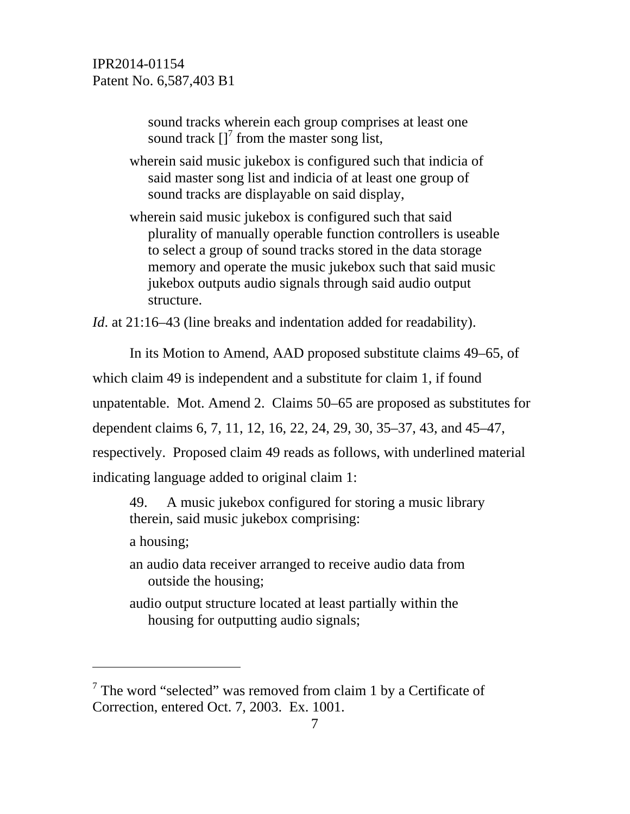sound tracks wherein each group comprises at least one sound track  $\left[\right]$ <sup>7</sup> from the master song list,

wherein said music jukebox is configured such that indicia of said master song list and indicia of at least one group of sound tracks are displayable on said display,

wherein said music jukebox is configured such that said plurality of manually operable function controllers is useable to select a group of sound tracks stored in the data storage memory and operate the music jukebox such that said music jukebox outputs audio signals through said audio output structure.

*Id.* at 21:16–43 (line breaks and indentation added for readability).

In its Motion to Amend, AAD proposed substitute claims 49–65, of

which claim 49 is independent and a substitute for claim 1, if found

unpatentable. Mot. Amend 2. Claims 50–65 are proposed as substitutes for

dependent claims 6, 7, 11, 12, 16, 22, 24, 29, 30, 35–37, 43, and 45–47,

respectively. Proposed claim 49 reads as follows, with underlined material

indicating language added to original claim 1:

49. A music jukebox configured for storing a music library therein, said music jukebox comprising:

a housing;

-

an audio data receiver arranged to receive audio data from outside the housing;

audio output structure located at least partially within the housing for outputting audio signals;

 $7$  The word "selected" was removed from claim 1 by a Certificate of Correction, entered Oct. 7, 2003. Ex. 1001.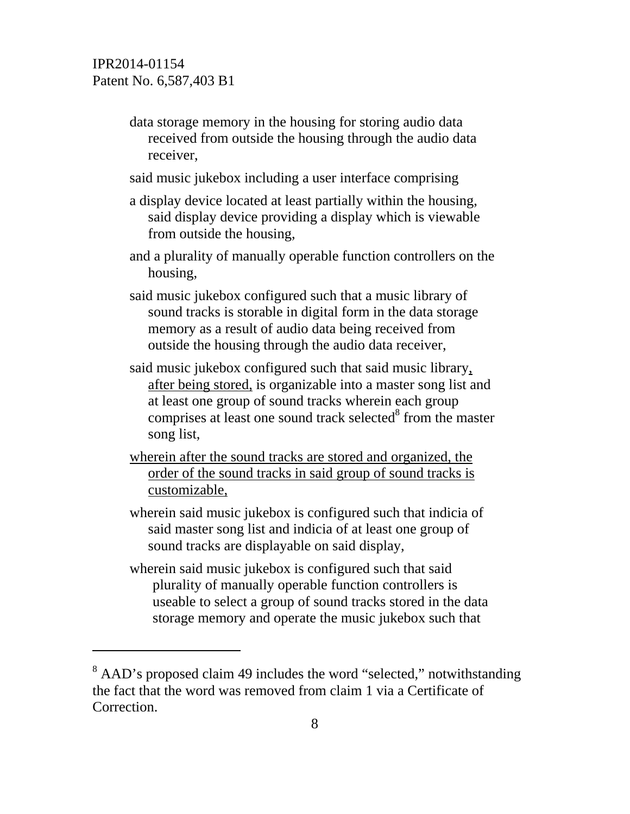$\overline{a}$ 

- data storage memory in the housing for storing audio data received from outside the housing through the audio data receiver,
- said music jukebox including a user interface comprising
- a display device located at least partially within the housing, said display device providing a display which is viewable from outside the housing,
- and a plurality of manually operable function controllers on the housing,
- said music jukebox configured such that a music library of sound tracks is storable in digital form in the data storage memory as a result of audio data being received from outside the housing through the audio data receiver,
- said music jukebox configured such that said music library, after being stored, is organizable into a master song list and at least one group of sound tracks wherein each group comprises at least one sound track selected $\delta$  from the master song list,
- wherein after the sound tracks are stored and organized, the order of the sound tracks in said group of sound tracks is customizable,
- wherein said music jukebox is configured such that indicia of said master song list and indicia of at least one group of sound tracks are displayable on said display,
- wherein said music jukebox is configured such that said plurality of manually operable function controllers is useable to select a group of sound tracks stored in the data storage memory and operate the music jukebox such that

<sup>&</sup>lt;sup>8</sup> AAD's proposed claim 49 includes the word "selected," notwithstanding the fact that the word was removed from claim 1 via a Certificate of Correction.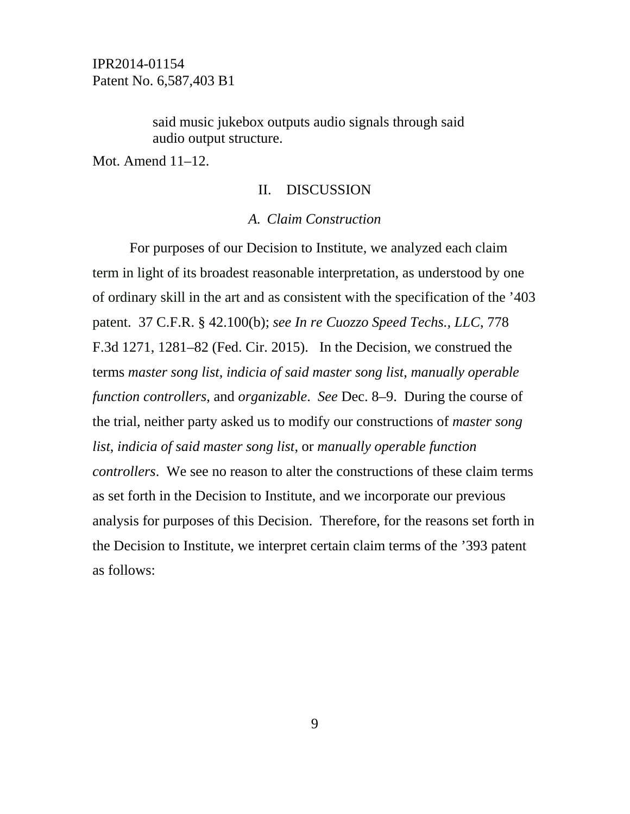> said music jukebox outputs audio signals through said audio output structure.

Mot. Amend 11–12.

#### II. DISCUSSION

#### *A. Claim Construction*

For purposes of our Decision to Institute, we analyzed each claim term in light of its broadest reasonable interpretation, as understood by one of ordinary skill in the art and as consistent with the specification of the '403 patent. 37 C.F.R. § 42.100(b); *see In re Cuozzo Speed Techs., LLC*, 778 F.3d 1271, 1281–82 (Fed. Cir. 2015). In the Decision, we construed the terms *master song list*, *indicia of said master song list*, *manually operable function controllers*, and *organizable*. *See* Dec. 8–9. During the course of the trial, neither party asked us to modify our constructions of *master song list*, *indicia of said master song list*, or *manually operable function controllers*. We see no reason to alter the constructions of these claim terms as set forth in the Decision to Institute, and we incorporate our previous analysis for purposes of this Decision. Therefore, for the reasons set forth in the Decision to Institute, we interpret certain claim terms of the '393 patent as follows: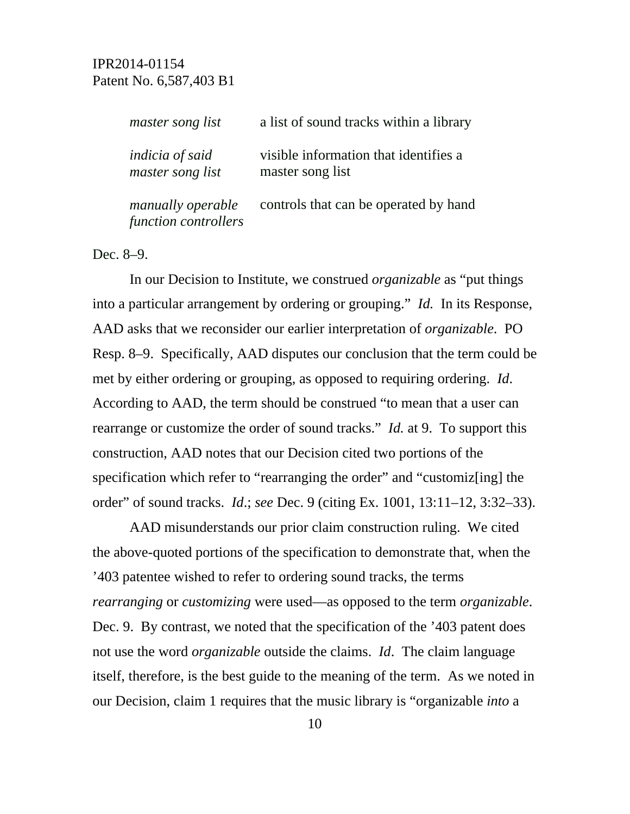| master song list                           | a list of sound tracks within a library                   |
|--------------------------------------------|-----------------------------------------------------------|
| <i>indicia of said</i><br>master song list | visible information that identifies a<br>master song list |
| manually operable<br>function controllers  | controls that can be operated by hand                     |

Dec. 8–9.

In our Decision to Institute, we construed *organizable* as "put things into a particular arrangement by ordering or grouping." *Id.* In its Response, AAD asks that we reconsider our earlier interpretation of *organizable*. PO Resp. 8–9. Specifically, AAD disputes our conclusion that the term could be met by either ordering or grouping, as opposed to requiring ordering. *Id*. According to AAD, the term should be construed "to mean that a user can rearrange or customize the order of sound tracks." *Id.* at 9. To support this construction, AAD notes that our Decision cited two portions of the specification which refer to "rearranging the order" and "customiz[ing] the order" of sound tracks. *Id*.; *see* Dec. 9 (citing Ex. 1001, 13:11–12, 3:32–33).

AAD misunderstands our prior claim construction ruling. We cited the above-quoted portions of the specification to demonstrate that, when the '403 patentee wished to refer to ordering sound tracks, the terms *rearranging* or *customizing* were used—as opposed to the term *organizable*. Dec. 9. By contrast, we noted that the specification of the '403 patent does not use the word *organizable* outside the claims. *Id*. The claim language itself, therefore, is the best guide to the meaning of the term. As we noted in our Decision, claim 1 requires that the music library is "organizable *into* a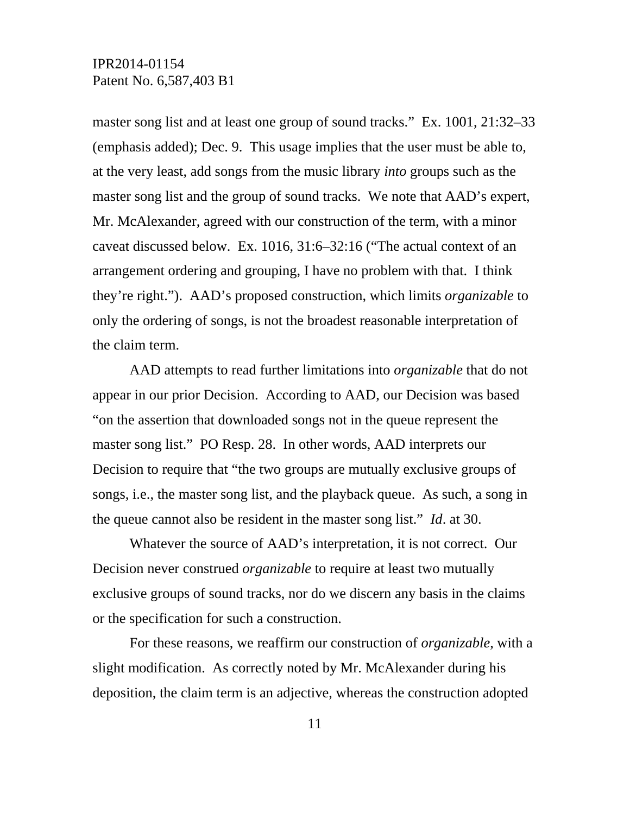master song list and at least one group of sound tracks." Ex. 1001, 21:32–33 (emphasis added); Dec. 9. This usage implies that the user must be able to, at the very least, add songs from the music library *into* groups such as the master song list and the group of sound tracks. We note that AAD's expert, Mr. McAlexander, agreed with our construction of the term, with a minor caveat discussed below. Ex. 1016, 31:6–32:16 ("The actual context of an arrangement ordering and grouping, I have no problem with that. I think they're right."). AAD's proposed construction, which limits *organizable* to only the ordering of songs, is not the broadest reasonable interpretation of the claim term.

AAD attempts to read further limitations into *organizable* that do not appear in our prior Decision. According to AAD, our Decision was based "on the assertion that downloaded songs not in the queue represent the master song list." PO Resp. 28. In other words, AAD interprets our Decision to require that "the two groups are mutually exclusive groups of songs, i.e., the master song list, and the playback queue. As such, a song in the queue cannot also be resident in the master song list." *Id*. at 30.

Whatever the source of AAD's interpretation, it is not correct. Our Decision never construed *organizable* to require at least two mutually exclusive groups of sound tracks, nor do we discern any basis in the claims or the specification for such a construction.

For these reasons, we reaffirm our construction of *organizable*, with a slight modification. As correctly noted by Mr. McAlexander during his deposition, the claim term is an adjective, whereas the construction adopted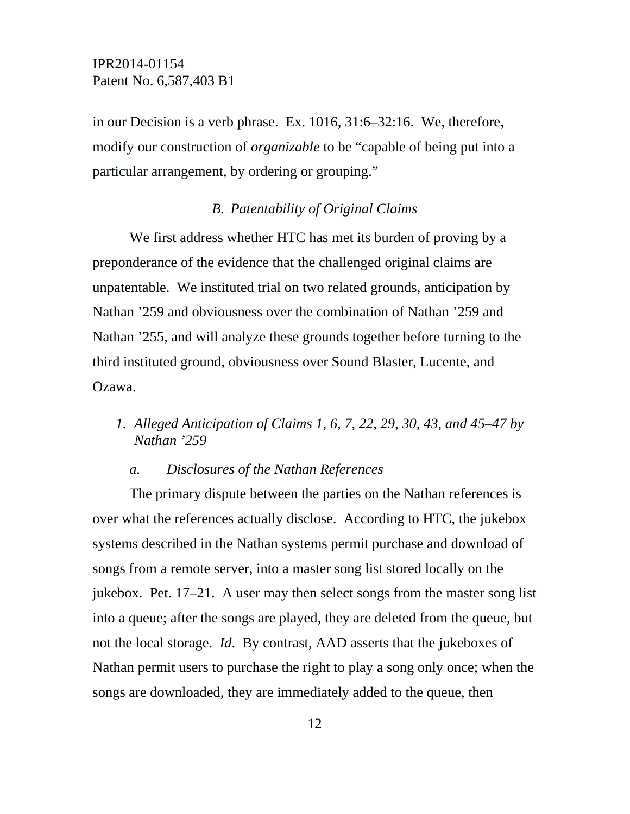in our Decision is a verb phrase. Ex. 1016, 31:6–32:16. We, therefore, modify our construction of *organizable* to be "capable of being put into a particular arrangement, by ordering or grouping."

#### *B. Patentability of Original Claims*

We first address whether HTC has met its burden of proving by a preponderance of the evidence that the challenged original claims are unpatentable. We instituted trial on two related grounds, anticipation by Nathan '259 and obviousness over the combination of Nathan '259 and Nathan '255, and will analyze these grounds together before turning to the third instituted ground, obviousness over Sound Blaster, Lucente, and Ozawa.

*1. Alleged Anticipation of Claims 1, 6, 7, 22, 29, 30, 43, and 45–47 by Nathan '259* 

#### *a. Disclosures of the Nathan References*

The primary dispute between the parties on the Nathan references is over what the references actually disclose. According to HTC, the jukebox systems described in the Nathan systems permit purchase and download of songs from a remote server, into a master song list stored locally on the jukebox. Pet. 17–21. A user may then select songs from the master song list into a queue; after the songs are played, they are deleted from the queue, but not the local storage. *Id*. By contrast, AAD asserts that the jukeboxes of Nathan permit users to purchase the right to play a song only once; when the songs are downloaded, they are immediately added to the queue, then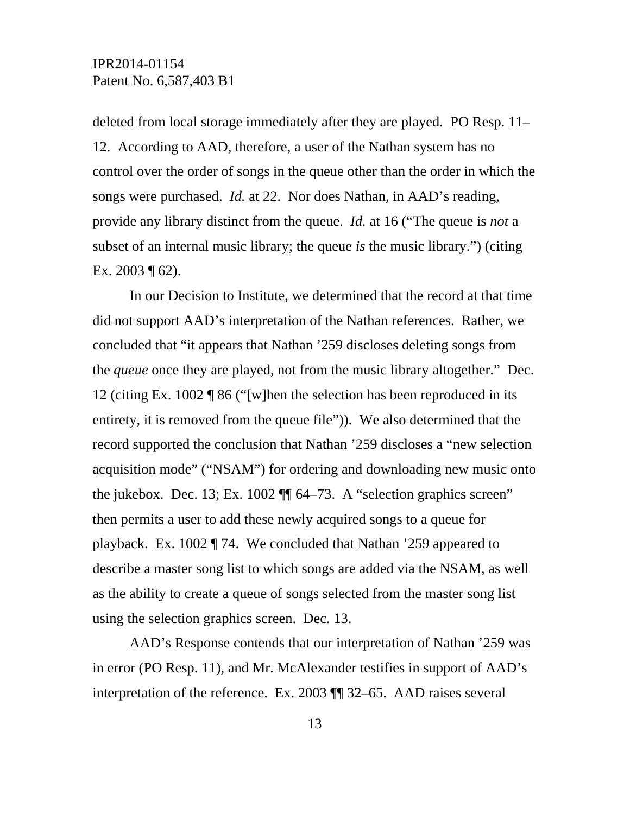deleted from local storage immediately after they are played. PO Resp. 11– 12. According to AAD, therefore, a user of the Nathan system has no control over the order of songs in the queue other than the order in which the songs were purchased. *Id.* at 22. Nor does Nathan, in AAD's reading, provide any library distinct from the queue. *Id.* at 16 ("The queue is *not* a subset of an internal music library; the queue *is* the music library.") (citing Ex. 2003 ¶ 62).

In our Decision to Institute, we determined that the record at that time did not support AAD's interpretation of the Nathan references. Rather, we concluded that "it appears that Nathan '259 discloses deleting songs from the *queue* once they are played, not from the music library altogether." Dec. 12 (citing Ex. 1002 ¶ 86 ("[w]hen the selection has been reproduced in its entirety, it is removed from the queue file")). We also determined that the record supported the conclusion that Nathan '259 discloses a "new selection acquisition mode" ("NSAM") for ordering and downloading new music onto the jukebox. Dec. 13; Ex. 1002 ¶¶ 64–73. A "selection graphics screen" then permits a user to add these newly acquired songs to a queue for playback. Ex. 1002 ¶ 74. We concluded that Nathan '259 appeared to describe a master song list to which songs are added via the NSAM, as well as the ability to create a queue of songs selected from the master song list using the selection graphics screen. Dec. 13.

AAD's Response contends that our interpretation of Nathan '259 was in error (PO Resp. 11), and Mr. McAlexander testifies in support of AAD's interpretation of the reference. Ex. 2003 ¶¶ 32–65. AAD raises several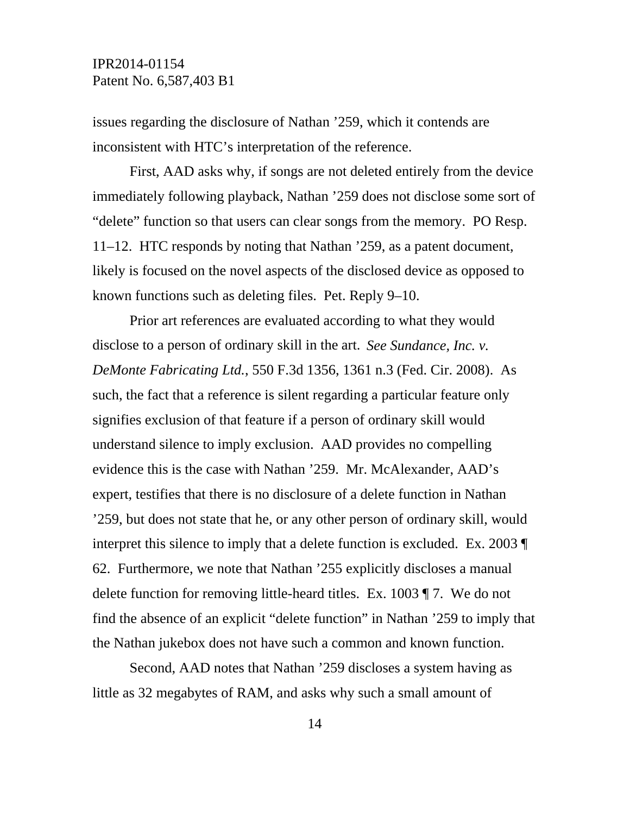issues regarding the disclosure of Nathan '259, which it contends are inconsistent with HTC's interpretation of the reference.

First, AAD asks why, if songs are not deleted entirely from the device immediately following playback, Nathan '259 does not disclose some sort of "delete" function so that users can clear songs from the memory. PO Resp. 11–12. HTC responds by noting that Nathan '259, as a patent document, likely is focused on the novel aspects of the disclosed device as opposed to known functions such as deleting files. Pet. Reply 9–10.

Prior art references are evaluated according to what they would disclose to a person of ordinary skill in the art. *See Sundance, Inc. v. DeMonte Fabricating Ltd.*, 550 F.3d 1356, 1361 n.3 (Fed. Cir. 2008). As such, the fact that a reference is silent regarding a particular feature only signifies exclusion of that feature if a person of ordinary skill would understand silence to imply exclusion. AAD provides no compelling evidence this is the case with Nathan '259. Mr. McAlexander, AAD's expert, testifies that there is no disclosure of a delete function in Nathan '259, but does not state that he, or any other person of ordinary skill, would interpret this silence to imply that a delete function is excluded. Ex. 2003 ¶ 62. Furthermore, we note that Nathan '255 explicitly discloses a manual delete function for removing little-heard titles. Ex. 1003 ¶ 7. We do not find the absence of an explicit "delete function" in Nathan '259 to imply that the Nathan jukebox does not have such a common and known function.

Second, AAD notes that Nathan '259 discloses a system having as little as 32 megabytes of RAM, and asks why such a small amount of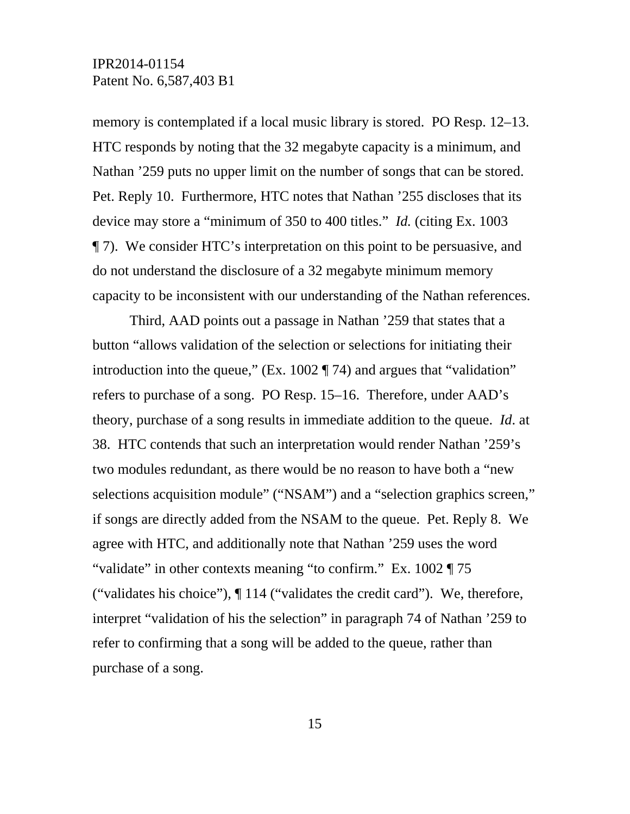memory is contemplated if a local music library is stored. PO Resp. 12–13. HTC responds by noting that the 32 megabyte capacity is a minimum, and Nathan '259 puts no upper limit on the number of songs that can be stored. Pet. Reply 10. Furthermore, HTC notes that Nathan '255 discloses that its device may store a "minimum of 350 to 400 titles." *Id.* (citing Ex. 1003 ¶ 7). We consider HTC's interpretation on this point to be persuasive, and do not understand the disclosure of a 32 megabyte minimum memory capacity to be inconsistent with our understanding of the Nathan references.

Third, AAD points out a passage in Nathan '259 that states that a button "allows validation of the selection or selections for initiating their introduction into the queue," (Ex. 1002 ¶ 74) and argues that "validation" refers to purchase of a song. PO Resp. 15–16. Therefore, under AAD's theory, purchase of a song results in immediate addition to the queue. *Id*. at 38. HTC contends that such an interpretation would render Nathan '259's two modules redundant, as there would be no reason to have both a "new selections acquisition module" ("NSAM") and a "selection graphics screen," if songs are directly added from the NSAM to the queue. Pet. Reply 8. We agree with HTC, and additionally note that Nathan '259 uses the word "validate" in other contexts meaning "to confirm." Ex. 1002 ¶ 75 ("validates his choice"), ¶ 114 ("validates the credit card"). We, therefore, interpret "validation of his the selection" in paragraph 74 of Nathan '259 to refer to confirming that a song will be added to the queue, rather than purchase of a song.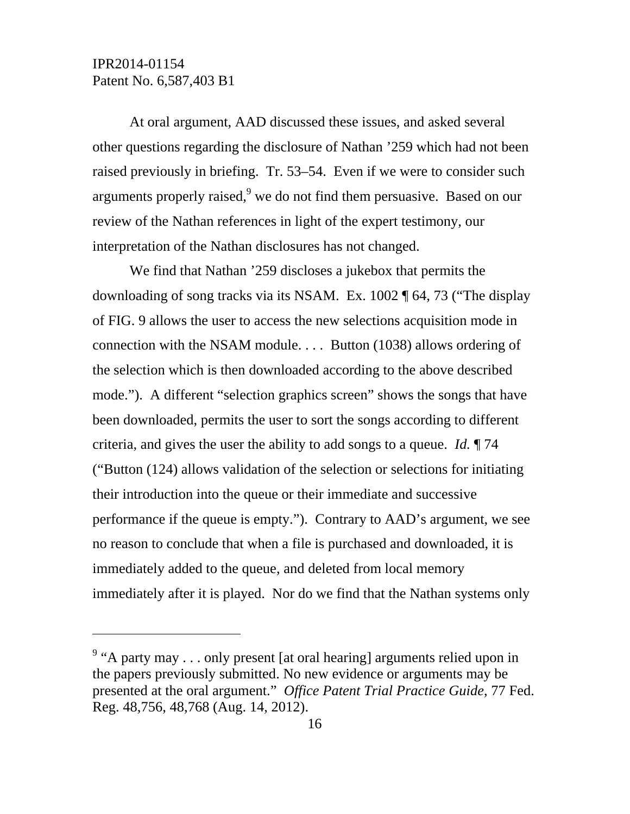$\overline{a}$ 

At oral argument, AAD discussed these issues, and asked several other questions regarding the disclosure of Nathan '259 which had not been raised previously in briefing. Tr. 53–54. Even if we were to consider such arguments properly raised,  $9$  we do not find them persuasive. Based on our review of the Nathan references in light of the expert testimony, our interpretation of the Nathan disclosures has not changed.

We find that Nathan '259 discloses a jukebox that permits the downloading of song tracks via its NSAM. Ex. 1002 ¶ 64, 73 ("The display of FIG. 9 allows the user to access the new selections acquisition mode in connection with the NSAM module. . . . Button (1038) allows ordering of the selection which is then downloaded according to the above described mode."). A different "selection graphics screen" shows the songs that have been downloaded, permits the user to sort the songs according to different criteria, and gives the user the ability to add songs to a queue. *Id.* ¶ 74 ("Button (124) allows validation of the selection or selections for initiating their introduction into the queue or their immediate and successive performance if the queue is empty."). Contrary to AAD's argument, we see no reason to conclude that when a file is purchased and downloaded, it is immediately added to the queue, and deleted from local memory immediately after it is played. Nor do we find that the Nathan systems only

<sup>&</sup>lt;sup>9</sup> "A party may . . . only present [at oral hearing] arguments relied upon in the papers previously submitted. No new evidence or arguments may be presented at the oral argument." *Office Patent Trial Practice Guide*, 77 Fed. Reg. 48,756, 48,768 (Aug. 14, 2012).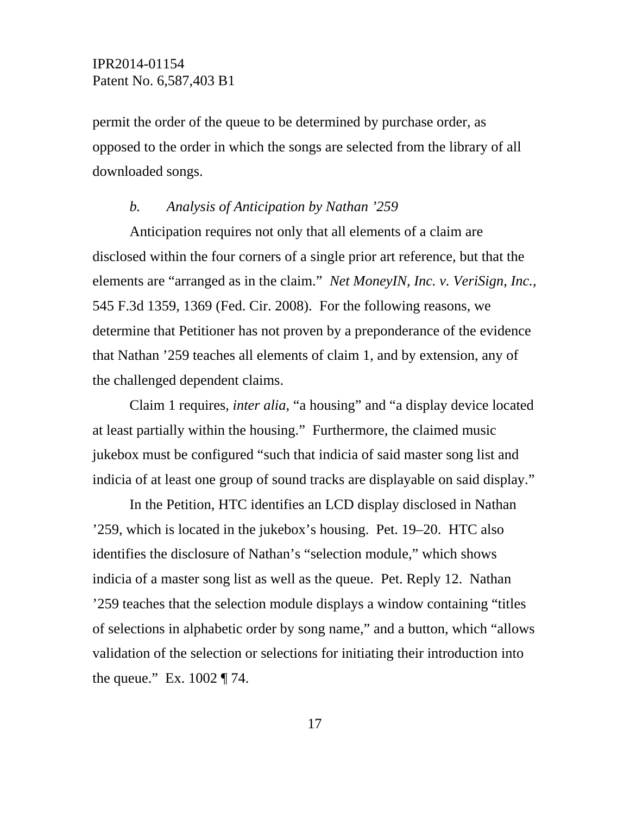permit the order of the queue to be determined by purchase order, as opposed to the order in which the songs are selected from the library of all downloaded songs.

#### *b. Analysis of Anticipation by Nathan '259*

Anticipation requires not only that all elements of a claim are disclosed within the four corners of a single prior art reference, but that the elements are "arranged as in the claim." *Net MoneyIN, Inc. v. VeriSign, Inc.*, 545 F.3d 1359, 1369 (Fed. Cir. 2008). For the following reasons, we determine that Petitioner has not proven by a preponderance of the evidence that Nathan '259 teaches all elements of claim 1, and by extension, any of the challenged dependent claims.

Claim 1 requires, *inter alia*, "a housing" and "a display device located at least partially within the housing." Furthermore, the claimed music jukebox must be configured "such that indicia of said master song list and indicia of at least one group of sound tracks are displayable on said display."

In the Petition, HTC identifies an LCD display disclosed in Nathan '259, which is located in the jukebox's housing. Pet. 19–20. HTC also identifies the disclosure of Nathan's "selection module," which shows indicia of a master song list as well as the queue. Pet. Reply 12. Nathan '259 teaches that the selection module displays a window containing "titles of selections in alphabetic order by song name," and a button, which "allows validation of the selection or selections for initiating their introduction into the queue." Ex. 1002 ¶ 74.

17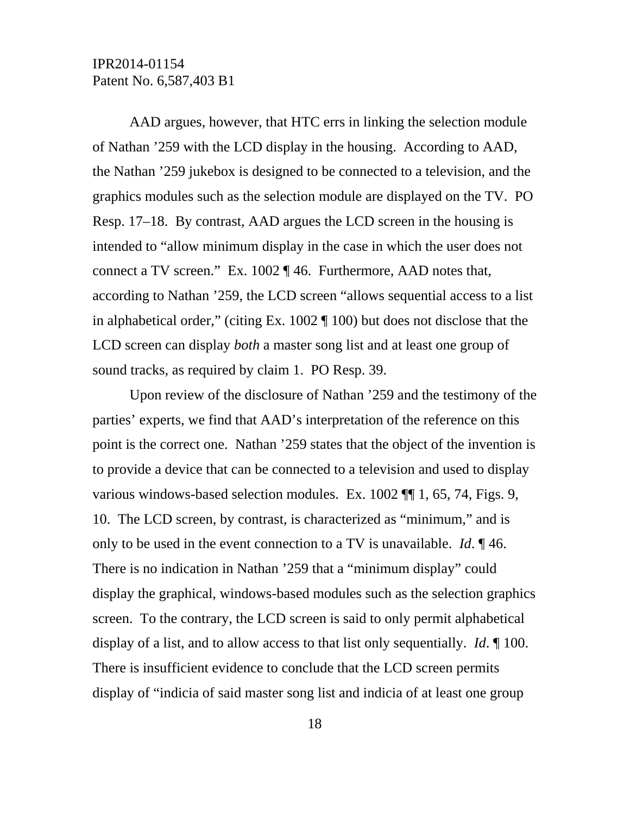AAD argues, however, that HTC errs in linking the selection module of Nathan '259 with the LCD display in the housing. According to AAD, the Nathan '259 jukebox is designed to be connected to a television, and the graphics modules such as the selection module are displayed on the TV. PO Resp. 17–18. By contrast, AAD argues the LCD screen in the housing is intended to "allow minimum display in the case in which the user does not connect a TV screen." Ex. 1002 ¶ 46. Furthermore, AAD notes that, according to Nathan '259, the LCD screen "allows sequential access to a list in alphabetical order," (citing Ex. 1002 ¶ 100) but does not disclose that the LCD screen can display *both* a master song list and at least one group of sound tracks, as required by claim 1. PO Resp. 39.

Upon review of the disclosure of Nathan '259 and the testimony of the parties' experts, we find that AAD's interpretation of the reference on this point is the correct one. Nathan '259 states that the object of the invention is to provide a device that can be connected to a television and used to display various windows-based selection modules. Ex. 1002 ¶¶ 1, 65, 74, Figs. 9, 10. The LCD screen, by contrast, is characterized as "minimum," and is only to be used in the event connection to a TV is unavailable. *Id*. ¶ 46. There is no indication in Nathan '259 that a "minimum display" could display the graphical, windows-based modules such as the selection graphics screen. To the contrary, the LCD screen is said to only permit alphabetical display of a list, and to allow access to that list only sequentially. *Id*. ¶ 100. There is insufficient evidence to conclude that the LCD screen permits display of "indicia of said master song list and indicia of at least one group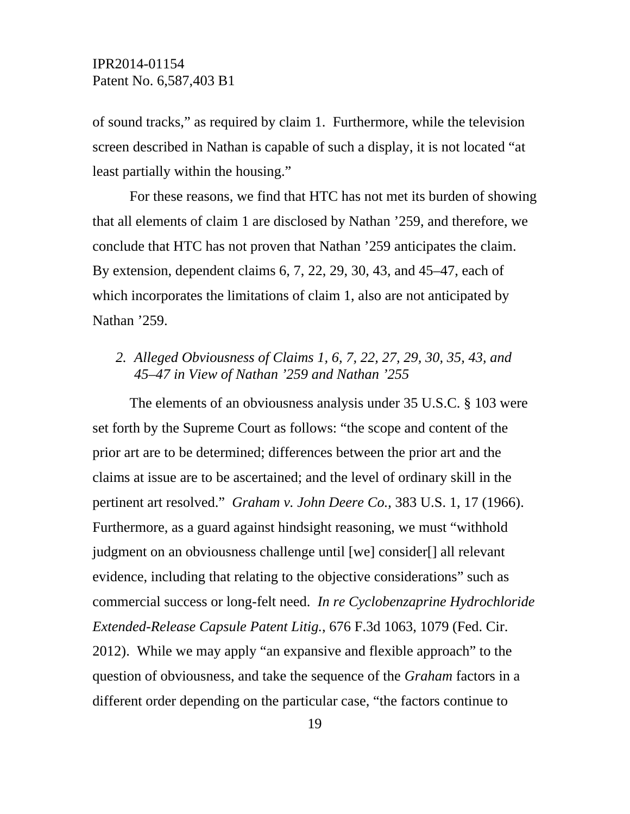of sound tracks," as required by claim 1. Furthermore, while the television screen described in Nathan is capable of such a display, it is not located "at least partially within the housing."

For these reasons, we find that HTC has not met its burden of showing that all elements of claim 1 are disclosed by Nathan '259, and therefore, we conclude that HTC has not proven that Nathan '259 anticipates the claim. By extension, dependent claims 6, 7, 22, 29, 30, 43, and 45–47, each of which incorporates the limitations of claim 1, also are not anticipated by Nathan '259.

## *2. Alleged Obviousness of Claims 1, 6, 7, 22, 27, 29, 30, 35, 43, and 45–47 in View of Nathan '259 and Nathan '255*

The elements of an obviousness analysis under 35 U.S.C. § 103 were set forth by the Supreme Court as follows: "the scope and content of the prior art are to be determined; differences between the prior art and the claims at issue are to be ascertained; and the level of ordinary skill in the pertinent art resolved." *Graham v. John Deere Co.*, 383 U.S. 1, 17 (1966). Furthermore, as a guard against hindsight reasoning, we must "withhold judgment on an obviousness challenge until [we] consider[] all relevant evidence, including that relating to the objective considerations" such as commercial success or long-felt need. *In re Cyclobenzaprine Hydrochloride Extended-Release Capsule Patent Litig.*, 676 F.3d 1063, 1079 (Fed. Cir. 2012). While we may apply "an expansive and flexible approach" to the question of obviousness, and take the sequence of the *Graham* factors in a different order depending on the particular case, "the factors continue to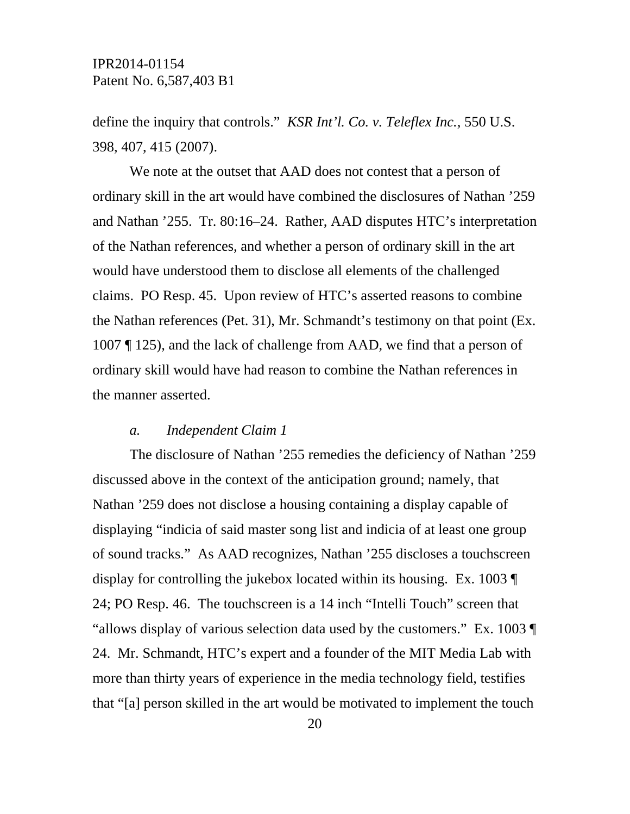define the inquiry that controls." *KSR Int'l. Co. v. Teleflex Inc.*, 550 U.S. 398, 407, 415 (2007).

We note at the outset that AAD does not contest that a person of ordinary skill in the art would have combined the disclosures of Nathan '259 and Nathan '255. Tr. 80:16–24. Rather, AAD disputes HTC's interpretation of the Nathan references, and whether a person of ordinary skill in the art would have understood them to disclose all elements of the challenged claims. PO Resp. 45. Upon review of HTC's asserted reasons to combine the Nathan references (Pet. 31), Mr. Schmandt's testimony on that point (Ex. 1007 ¶ 125), and the lack of challenge from AAD, we find that a person of ordinary skill would have had reason to combine the Nathan references in the manner asserted.

#### *a. Independent Claim 1*

The disclosure of Nathan '255 remedies the deficiency of Nathan '259 discussed above in the context of the anticipation ground; namely, that Nathan '259 does not disclose a housing containing a display capable of displaying "indicia of said master song list and indicia of at least one group of sound tracks." As AAD recognizes, Nathan '255 discloses a touchscreen display for controlling the jukebox located within its housing. Ex. 1003 ¶ 24; PO Resp. 46. The touchscreen is a 14 inch "Intelli Touch" screen that "allows display of various selection data used by the customers." Ex. 1003 ¶ 24. Mr. Schmandt, HTC's expert and a founder of the MIT Media Lab with more than thirty years of experience in the media technology field, testifies that "[a] person skilled in the art would be motivated to implement the touch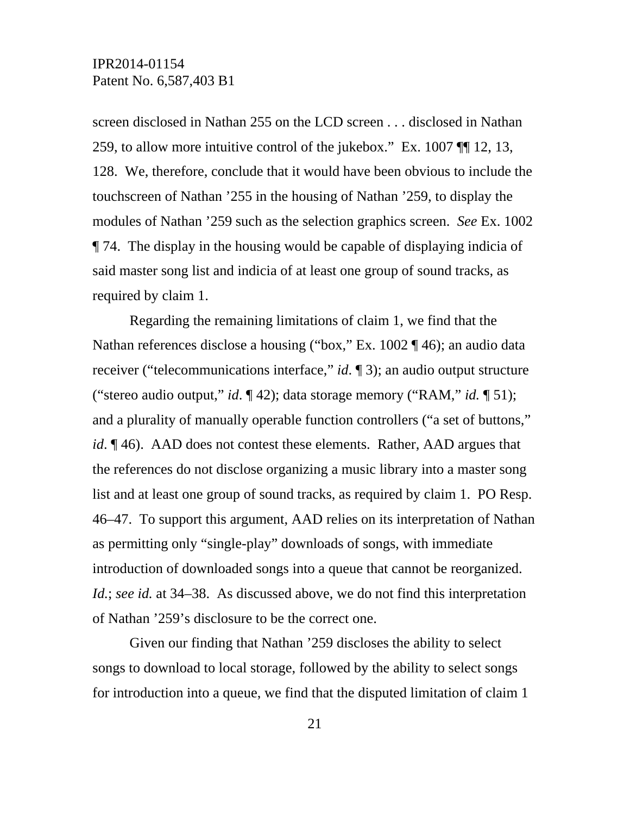screen disclosed in Nathan 255 on the LCD screen . . . disclosed in Nathan 259, to allow more intuitive control of the jukebox." Ex. 1007 ¶¶ 12, 13, 128. We, therefore, conclude that it would have been obvious to include the touchscreen of Nathan '255 in the housing of Nathan '259, to display the modules of Nathan '259 such as the selection graphics screen. *See* Ex. 1002 ¶ 74. The display in the housing would be capable of displaying indicia of said master song list and indicia of at least one group of sound tracks, as required by claim 1.

Regarding the remaining limitations of claim 1, we find that the Nathan references disclose a housing ("box," Ex. 1002 ¶ 46); an audio data receiver ("telecommunications interface," *id*. ¶ 3); an audio output structure ("stereo audio output," *id*. ¶ 42); data storage memory ("RAM," *id.* ¶ 51); and a plurality of manually operable function controllers ("a set of buttons," *id*. ¶ 46). AAD does not contest these elements. Rather, AAD argues that the references do not disclose organizing a music library into a master song list and at least one group of sound tracks, as required by claim 1. PO Resp. 46–47. To support this argument, AAD relies on its interpretation of Nathan as permitting only "single-play" downloads of songs, with immediate introduction of downloaded songs into a queue that cannot be reorganized. *Id.*; *see id.* at 34–38. As discussed above, we do not find this interpretation of Nathan '259's disclosure to be the correct one.

Given our finding that Nathan '259 discloses the ability to select songs to download to local storage, followed by the ability to select songs for introduction into a queue, we find that the disputed limitation of claim 1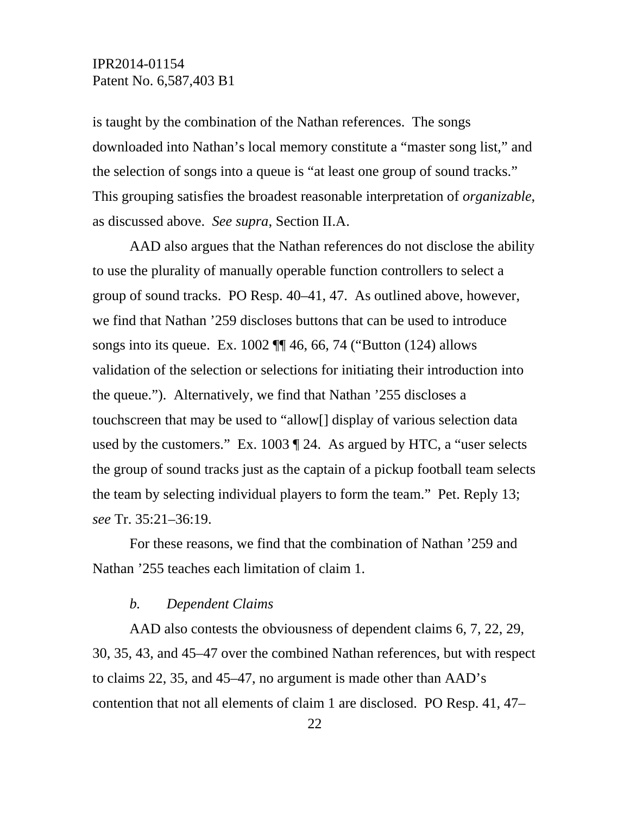is taught by the combination of the Nathan references. The songs downloaded into Nathan's local memory constitute a "master song list," and the selection of songs into a queue is "at least one group of sound tracks." This grouping satisfies the broadest reasonable interpretation of *organizable*, as discussed above. *See supra*, Section II.A.

AAD also argues that the Nathan references do not disclose the ability to use the plurality of manually operable function controllers to select a group of sound tracks. PO Resp. 40–41, 47. As outlined above, however, we find that Nathan '259 discloses buttons that can be used to introduce songs into its queue. Ex. 1002  $\P$  46, 66, 74 ("Button (124) allows validation of the selection or selections for initiating their introduction into the queue."). Alternatively, we find that Nathan '255 discloses a touchscreen that may be used to "allow[] display of various selection data used by the customers." Ex. 1003 ¶ 24. As argued by HTC, a "user selects the group of sound tracks just as the captain of a pickup football team selects the team by selecting individual players to form the team." Pet. Reply 13; *see* Tr. 35:21–36:19.

For these reasons, we find that the combination of Nathan '259 and Nathan '255 teaches each limitation of claim 1.

#### *b. Dependent Claims*

AAD also contests the obviousness of dependent claims 6, 7, 22, 29, 30, 35, 43, and 45–47 over the combined Nathan references, but with respect to claims 22, 35, and 45–47, no argument is made other than AAD's contention that not all elements of claim 1 are disclosed. PO Resp. 41, 47–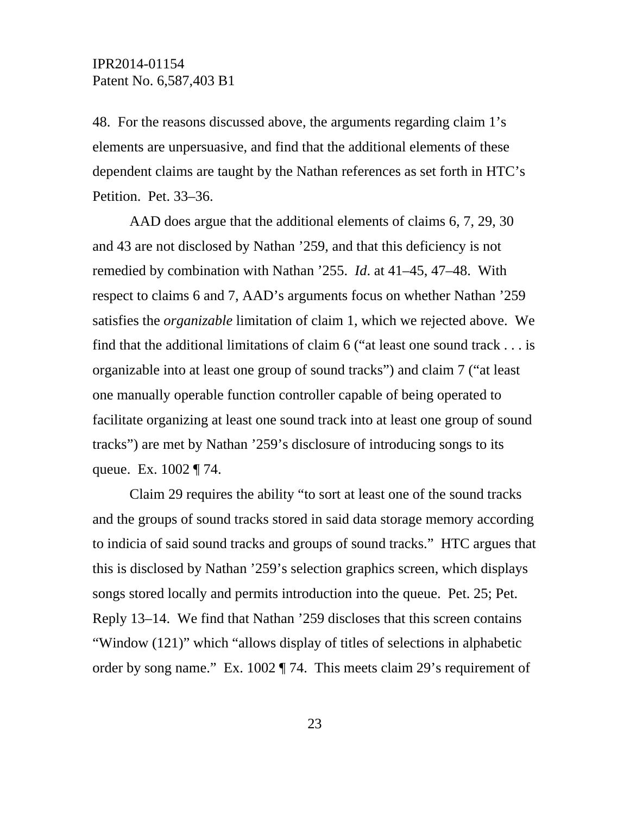48. For the reasons discussed above, the arguments regarding claim 1's elements are unpersuasive, and find that the additional elements of these dependent claims are taught by the Nathan references as set forth in HTC's Petition. Pet. 33–36.

AAD does argue that the additional elements of claims 6, 7, 29, 30 and 43 are not disclosed by Nathan '259, and that this deficiency is not remedied by combination with Nathan '255. *Id*. at 41–45, 47–48. With respect to claims 6 and 7, AAD's arguments focus on whether Nathan '259 satisfies the *organizable* limitation of claim 1, which we rejected above. We find that the additional limitations of claim 6 ("at least one sound track . . . is organizable into at least one group of sound tracks") and claim 7 ("at least one manually operable function controller capable of being operated to facilitate organizing at least one sound track into at least one group of sound tracks") are met by Nathan '259's disclosure of introducing songs to its queue. Ex. 1002 ¶ 74.

Claim 29 requires the ability "to sort at least one of the sound tracks and the groups of sound tracks stored in said data storage memory according to indicia of said sound tracks and groups of sound tracks." HTC argues that this is disclosed by Nathan '259's selection graphics screen, which displays songs stored locally and permits introduction into the queue. Pet. 25; Pet. Reply 13–14. We find that Nathan '259 discloses that this screen contains "Window (121)" which "allows display of titles of selections in alphabetic order by song name." Ex. 1002 ¶ 74. This meets claim 29's requirement of

23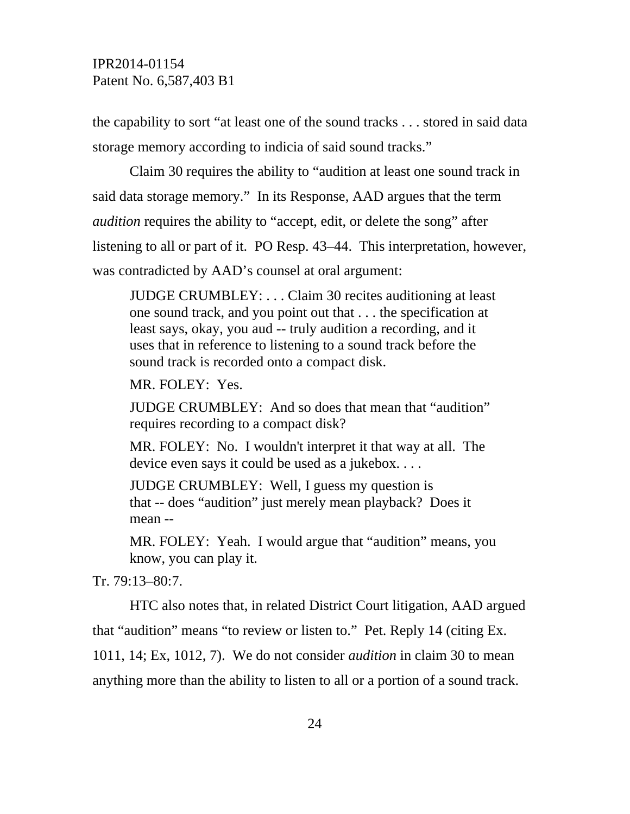the capability to sort "at least one of the sound tracks . . . stored in said data storage memory according to indicia of said sound tracks."

Claim 30 requires the ability to "audition at least one sound track in said data storage memory." In its Response, AAD argues that the term *audition* requires the ability to "accept, edit, or delete the song" after listening to all or part of it. PO Resp. 43–44. This interpretation, however, was contradicted by AAD's counsel at oral argument:

JUDGE CRUMBLEY: . . . Claim 30 recites auditioning at least one sound track, and you point out that . . . the specification at least says, okay, you aud -- truly audition a recording, and it uses that in reference to listening to a sound track before the sound track is recorded onto a compact disk.

MR. FOLEY: Yes.

JUDGE CRUMBLEY: And so does that mean that "audition" requires recording to a compact disk?

MR. FOLEY: No. I wouldn't interpret it that way at all. The device even says it could be used as a jukebox. . . .

JUDGE CRUMBLEY: Well, I guess my question is that -- does "audition" just merely mean playback? Does it mean --

MR. FOLEY: Yeah. I would argue that "audition" means, you know, you can play it.

Tr. 79:13–80:7.

 HTC also notes that, in related District Court litigation, AAD argued that "audition" means "to review or listen to." Pet. Reply 14 (citing Ex. 1011, 14; Ex, 1012, 7). We do not consider *audition* in claim 30 to mean

anything more than the ability to listen to all or a portion of a sound track.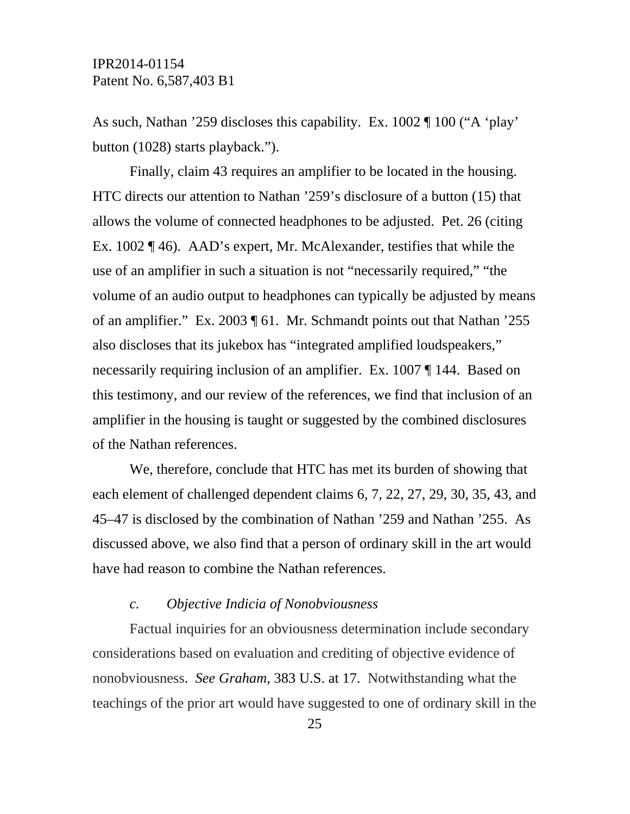As such, Nathan '259 discloses this capability. Ex. 1002 ¶ 100 ("A 'play' button (1028) starts playback.").

Finally, claim 43 requires an amplifier to be located in the housing. HTC directs our attention to Nathan '259's disclosure of a button (15) that allows the volume of connected headphones to be adjusted. Pet. 26 (citing Ex. 1002 ¶ 46). AAD's expert, Mr. McAlexander, testifies that while the use of an amplifier in such a situation is not "necessarily required," "the volume of an audio output to headphones can typically be adjusted by means of an amplifier." Ex. 2003 ¶ 61. Mr. Schmandt points out that Nathan '255 also discloses that its jukebox has "integrated amplified loudspeakers," necessarily requiring inclusion of an amplifier. Ex. 1007 ¶ 144. Based on this testimony, and our review of the references, we find that inclusion of an amplifier in the housing is taught or suggested by the combined disclosures of the Nathan references.

We, therefore, conclude that HTC has met its burden of showing that each element of challenged dependent claims 6, 7, 22, 27, 29, 30, 35, 43, and 45–47 is disclosed by the combination of Nathan '259 and Nathan '255. As discussed above, we also find that a person of ordinary skill in the art would have had reason to combine the Nathan references.

#### *c. Objective Indicia of Nonobviousness*

Factual inquiries for an obviousness determination include secondary considerations based on evaluation and crediting of objective evidence of nonobviousness. *See Graham*, 383 U.S. at 17. Notwithstanding what the teachings of the prior art would have suggested to one of ordinary skill in the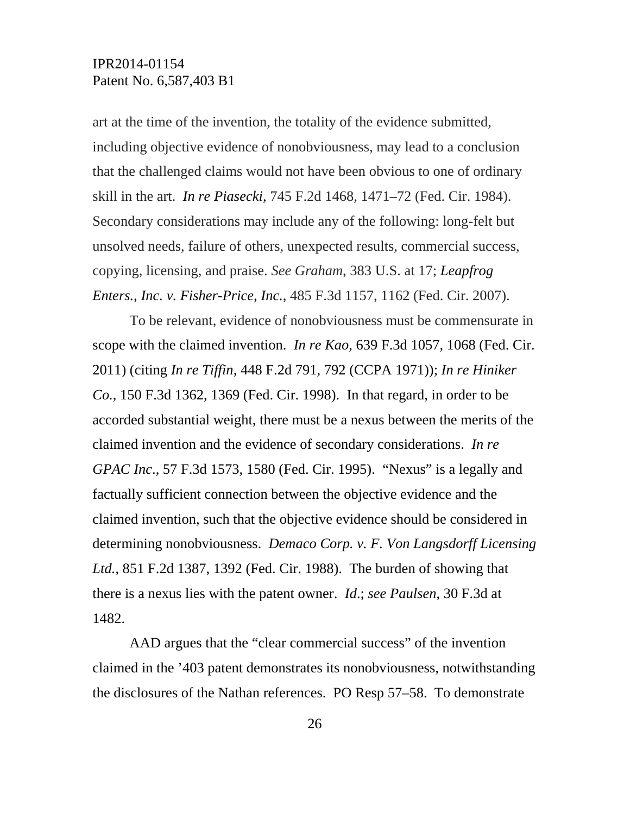art at the time of the invention, the totality of the evidence submitted, including objective evidence of nonobviousness, may lead to a conclusion that the challenged claims would not have been obvious to one of ordinary skill in the art. *In re Piasecki*, 745 F.2d 1468, 1471–72 (Fed. Cir. 1984). Secondary considerations may include any of the following: long-felt but unsolved needs, failure of others, unexpected results, commercial success, copying, licensing, and praise. *See Graham*, 383 U.S. at 17; *Leapfrog Enters., Inc. v. Fisher-Price, Inc.*, 485 F.3d 1157, 1162 (Fed. Cir. 2007).

To be relevant, evidence of nonobviousness must be commensurate in scope with the claimed invention. *In re Kao*, 639 F.3d 1057, 1068 (Fed. Cir. 2011) (citing *In re Tiffin*, 448 F.2d 791, 792 (CCPA 1971)); *In re Hiniker Co.*, 150 F.3d 1362, 1369 (Fed. Cir. 1998). In that regard, in order to be accorded substantial weight, there must be a nexus between the merits of the claimed invention and the evidence of secondary considerations. *In re GPAC Inc*., 57 F.3d 1573, 1580 (Fed. Cir. 1995). "Nexus" is a legally and factually sufficient connection between the objective evidence and the claimed invention, such that the objective evidence should be considered in determining nonobviousness. *Demaco Corp. v. F. Von Langsdorff Licensing Ltd.*, 851 F.2d 1387, 1392 (Fed. Cir. 1988). The burden of showing that there is a nexus lies with the patent owner. *Id*.; *see Paulsen*, 30 F.3d at 1482.

AAD argues that the "clear commercial success" of the invention claimed in the '403 patent demonstrates its nonobviousness, notwithstanding the disclosures of the Nathan references. PO Resp 57–58. To demonstrate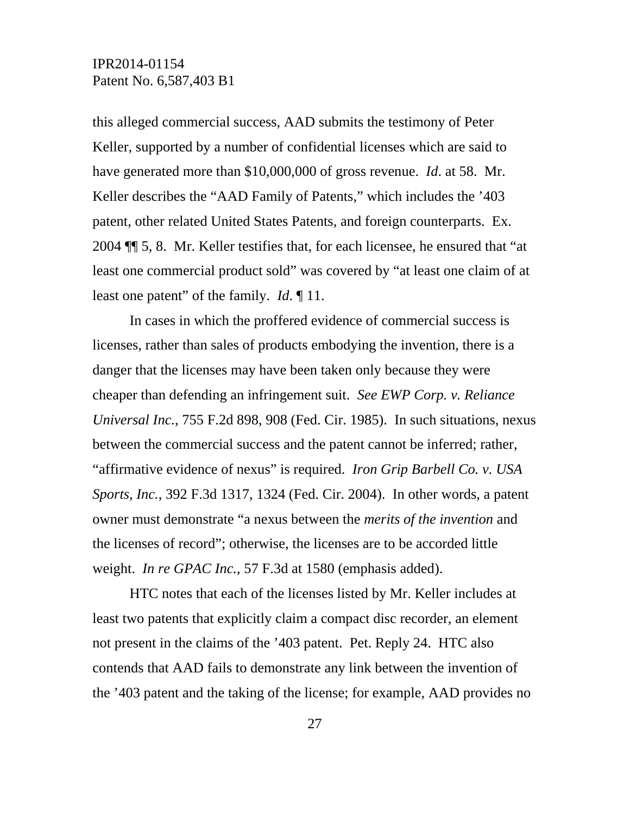this alleged commercial success, AAD submits the testimony of Peter Keller, supported by a number of confidential licenses which are said to have generated more than \$10,000,000 of gross revenue. *Id*. at 58. Mr. Keller describes the "AAD Family of Patents," which includes the '403 patent, other related United States Patents, and foreign counterparts. Ex. 2004 ¶¶ 5, 8. Mr. Keller testifies that, for each licensee, he ensured that "at least one commercial product sold" was covered by "at least one claim of at least one patent" of the family. *Id*. ¶ 11.

In cases in which the proffered evidence of commercial success is licenses, rather than sales of products embodying the invention, there is a danger that the licenses may have been taken only because they were cheaper than defending an infringement suit. *See EWP Corp. v. Reliance Universal Inc.*, 755 F.2d 898, 908 (Fed. Cir. 1985). In such situations, nexus between the commercial success and the patent cannot be inferred; rather, "affirmative evidence of nexus" is required. *Iron Grip Barbell Co. v. USA Sports, Inc.*, 392 F.3d 1317, 1324 (Fed. Cir. 2004). In other words, a patent owner must demonstrate "a nexus between the *merits of the invention* and the licenses of record"; otherwise, the licenses are to be accorded little weight. *In re GPAC Inc.*, 57 F.3d at 1580 (emphasis added).

HTC notes that each of the licenses listed by Mr. Keller includes at least two patents that explicitly claim a compact disc recorder, an element not present in the claims of the '403 patent. Pet. Reply 24. HTC also contends that AAD fails to demonstrate any link between the invention of the '403 patent and the taking of the license; for example, AAD provides no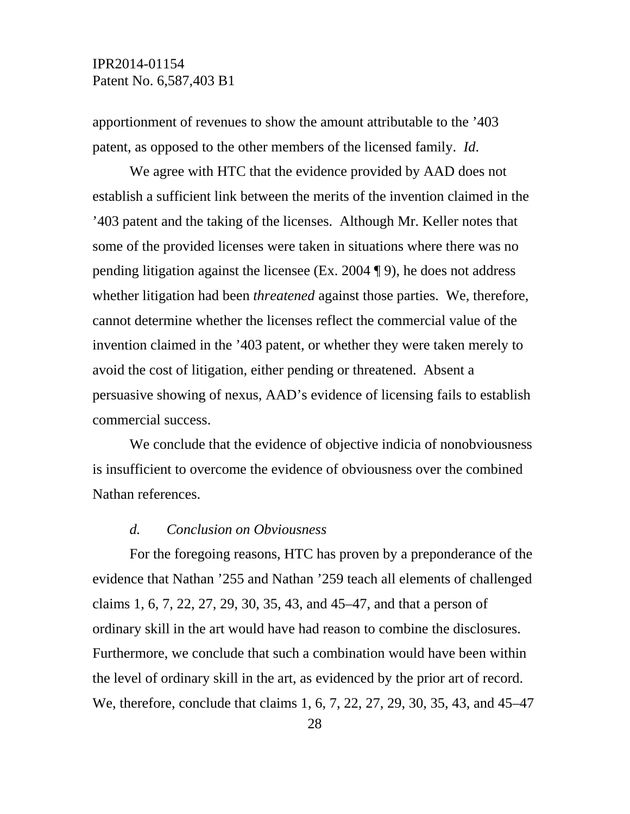apportionment of revenues to show the amount attributable to the '403 patent, as opposed to the other members of the licensed family. *Id*.

We agree with HTC that the evidence provided by AAD does not establish a sufficient link between the merits of the invention claimed in the '403 patent and the taking of the licenses. Although Mr. Keller notes that some of the provided licenses were taken in situations where there was no pending litigation against the licensee (Ex. 2004 ¶ 9), he does not address whether litigation had been *threatened* against those parties. We, therefore, cannot determine whether the licenses reflect the commercial value of the invention claimed in the '403 patent, or whether they were taken merely to avoid the cost of litigation, either pending or threatened. Absent a persuasive showing of nexus, AAD's evidence of licensing fails to establish commercial success.

We conclude that the evidence of objective indicia of nonobviousness is insufficient to overcome the evidence of obviousness over the combined Nathan references.

#### *d. Conclusion on Obviousness*

For the foregoing reasons, HTC has proven by a preponderance of the evidence that Nathan '255 and Nathan '259 teach all elements of challenged claims 1, 6, 7, 22, 27, 29, 30, 35, 43, and 45–47, and that a person of ordinary skill in the art would have had reason to combine the disclosures. Furthermore, we conclude that such a combination would have been within the level of ordinary skill in the art, as evidenced by the prior art of record. We, therefore, conclude that claims 1, 6, 7, 22, 27, 29, 30, 35, 43, and 45–47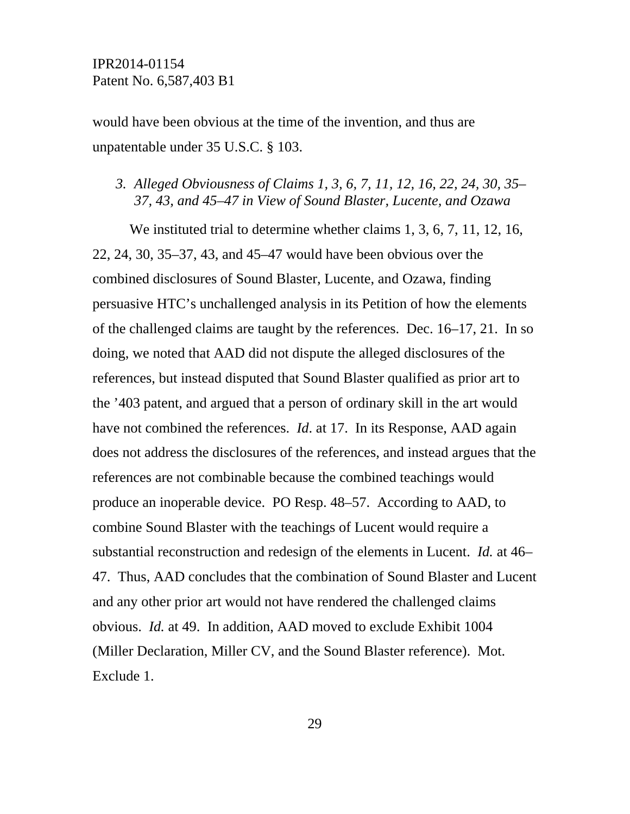would have been obvious at the time of the invention, and thus are unpatentable under 35 U.S.C. § 103.

#### *3. Alleged Obviousness of Claims 1, 3, 6, 7, 11, 12, 16, 22, 24, 30, 35– 37, 43, and 45–47 in View of Sound Blaster, Lucente, and Ozawa*

We instituted trial to determine whether claims 1, 3, 6, 7, 11, 12, 16, 22, 24, 30, 35–37, 43, and 45–47 would have been obvious over the combined disclosures of Sound Blaster, Lucente, and Ozawa, finding persuasive HTC's unchallenged analysis in its Petition of how the elements of the challenged claims are taught by the references. Dec. 16–17, 21. In so doing, we noted that AAD did not dispute the alleged disclosures of the references, but instead disputed that Sound Blaster qualified as prior art to the '403 patent, and argued that a person of ordinary skill in the art would have not combined the references. *Id*. at 17. In its Response, AAD again does not address the disclosures of the references, and instead argues that the references are not combinable because the combined teachings would produce an inoperable device. PO Resp. 48–57. According to AAD, to combine Sound Blaster with the teachings of Lucent would require a substantial reconstruction and redesign of the elements in Lucent. *Id.* at 46– 47. Thus, AAD concludes that the combination of Sound Blaster and Lucent and any other prior art would not have rendered the challenged claims obvious. *Id.* at 49. In addition, AAD moved to exclude Exhibit 1004 (Miller Declaration, Miller CV, and the Sound Blaster reference). Mot. Exclude 1.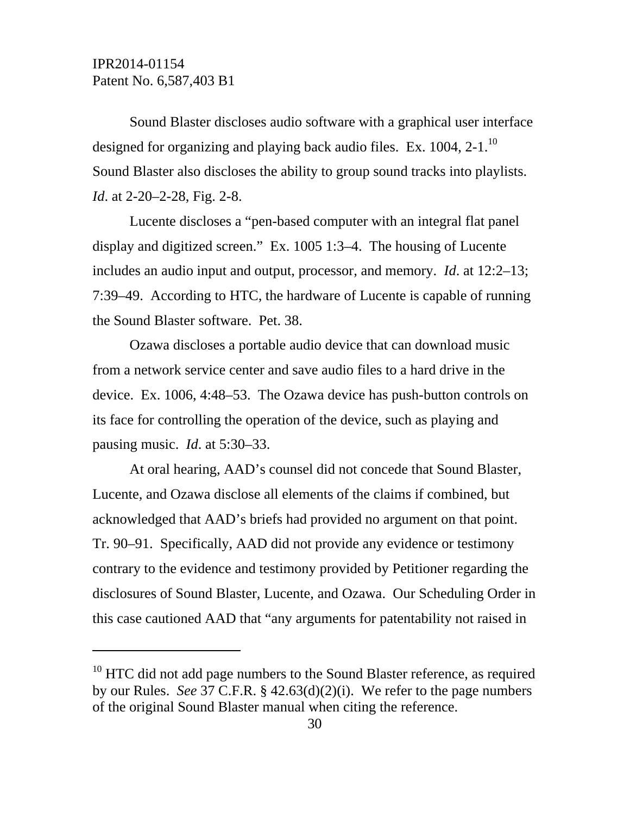l

Sound Blaster discloses audio software with a graphical user interface designed for organizing and playing back audio files. Ex. 1004, 2-1.<sup>10</sup> Sound Blaster also discloses the ability to group sound tracks into playlists. *Id.* at 2-20–2-28, Fig. 2-8.

Lucente discloses a "pen-based computer with an integral flat panel display and digitized screen." Ex. 1005 1:3–4. The housing of Lucente includes an audio input and output, processor, and memory. *Id*. at 12:2–13; 7:39–49. According to HTC, the hardware of Lucente is capable of running the Sound Blaster software. Pet. 38.

Ozawa discloses a portable audio device that can download music from a network service center and save audio files to a hard drive in the device. Ex. 1006, 4:48–53. The Ozawa device has push-button controls on its face for controlling the operation of the device, such as playing and pausing music. *Id*. at 5:30–33.

At oral hearing, AAD's counsel did not concede that Sound Blaster, Lucente, and Ozawa disclose all elements of the claims if combined, but acknowledged that AAD's briefs had provided no argument on that point. Tr. 90–91. Specifically, AAD did not provide any evidence or testimony contrary to the evidence and testimony provided by Petitioner regarding the disclosures of Sound Blaster, Lucente, and Ozawa. Our Scheduling Order in this case cautioned AAD that "any arguments for patentability not raised in

<sup>&</sup>lt;sup>10</sup> HTC did not add page numbers to the Sound Blaster reference, as required by our Rules. *See* 37 C.F.R. § 42.63(d)(2)(i). We refer to the page numbers of the original Sound Blaster manual when citing the reference.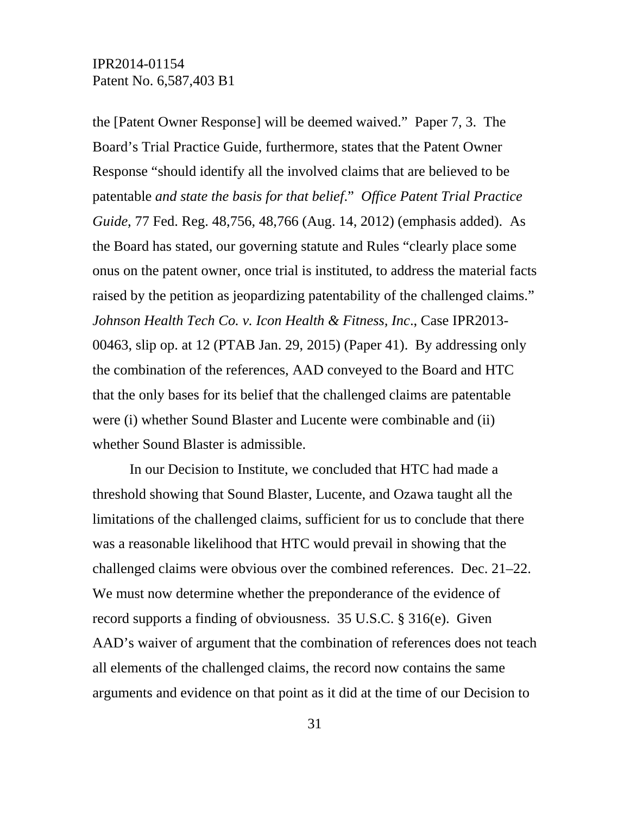the [Patent Owner Response] will be deemed waived." Paper 7, 3. The Board's Trial Practice Guide, furthermore, states that the Patent Owner Response "should identify all the involved claims that are believed to be patentable *and state the basis for that belief*." *Office Patent Trial Practice Guide*, 77 Fed. Reg. 48,756, 48,766 (Aug. 14, 2012) (emphasis added). As the Board has stated, our governing statute and Rules "clearly place some onus on the patent owner, once trial is instituted, to address the material facts raised by the petition as jeopardizing patentability of the challenged claims." *Johnson Health Tech Co. v. Icon Health & Fitness, Inc*., Case IPR2013- 00463, slip op. at 12 (PTAB Jan. 29, 2015) (Paper 41). By addressing only the combination of the references, AAD conveyed to the Board and HTC that the only bases for its belief that the challenged claims are patentable were (i) whether Sound Blaster and Lucente were combinable and (ii) whether Sound Blaster is admissible.

In our Decision to Institute, we concluded that HTC had made a threshold showing that Sound Blaster, Lucente, and Ozawa taught all the limitations of the challenged claims, sufficient for us to conclude that there was a reasonable likelihood that HTC would prevail in showing that the challenged claims were obvious over the combined references. Dec. 21–22. We must now determine whether the preponderance of the evidence of record supports a finding of obviousness. 35 U.S.C. § 316(e). Given AAD's waiver of argument that the combination of references does not teach all elements of the challenged claims, the record now contains the same arguments and evidence on that point as it did at the time of our Decision to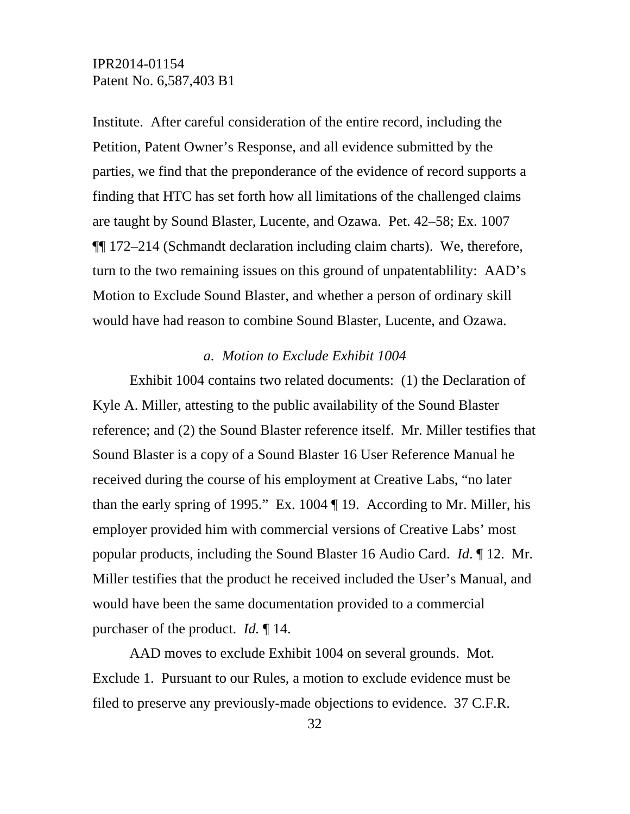Institute. After careful consideration of the entire record, including the Petition, Patent Owner's Response, and all evidence submitted by the parties, we find that the preponderance of the evidence of record supports a finding that HTC has set forth how all limitations of the challenged claims are taught by Sound Blaster, Lucente, and Ozawa. Pet. 42–58; Ex. 1007 ¶¶ 172–214 (Schmandt declaration including claim charts). We, therefore, turn to the two remaining issues on this ground of unpatentablility: AAD's Motion to Exclude Sound Blaster, and whether a person of ordinary skill would have had reason to combine Sound Blaster, Lucente, and Ozawa.

#### *a. Motion to Exclude Exhibit 1004*

Exhibit 1004 contains two related documents: (1) the Declaration of Kyle A. Miller, attesting to the public availability of the Sound Blaster reference; and (2) the Sound Blaster reference itself. Mr. Miller testifies that Sound Blaster is a copy of a Sound Blaster 16 User Reference Manual he received during the course of his employment at Creative Labs, "no later than the early spring of 1995." Ex. 1004 ¶ 19. According to Mr. Miller, his employer provided him with commercial versions of Creative Labs' most popular products, including the Sound Blaster 16 Audio Card. *Id*. ¶ 12. Mr. Miller testifies that the product he received included the User's Manual, and would have been the same documentation provided to a commercial purchaser of the product. *Id.* ¶ 14.

AAD moves to exclude Exhibit 1004 on several grounds. Mot. Exclude 1. Pursuant to our Rules, a motion to exclude evidence must be filed to preserve any previously-made objections to evidence. 37 C.F.R.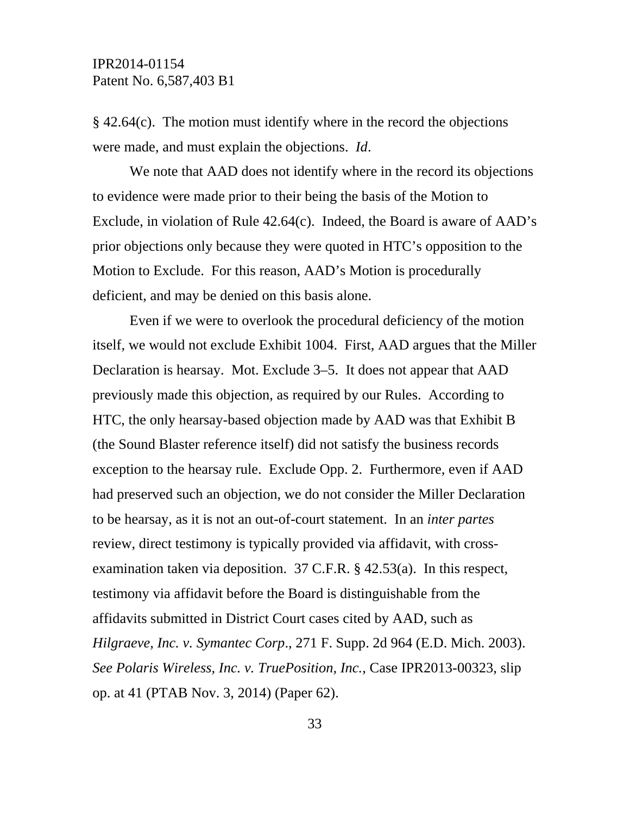§ 42.64(c). The motion must identify where in the record the objections were made, and must explain the objections. *Id*.

We note that AAD does not identify where in the record its objections to evidence were made prior to their being the basis of the Motion to Exclude, in violation of Rule 42.64(c). Indeed, the Board is aware of AAD's prior objections only because they were quoted in HTC's opposition to the Motion to Exclude. For this reason, AAD's Motion is procedurally deficient, and may be denied on this basis alone.

Even if we were to overlook the procedural deficiency of the motion itself, we would not exclude Exhibit 1004. First, AAD argues that the Miller Declaration is hearsay. Mot. Exclude 3–5. It does not appear that AAD previously made this objection, as required by our Rules. According to HTC, the only hearsay-based objection made by AAD was that Exhibit B (the Sound Blaster reference itself) did not satisfy the business records exception to the hearsay rule. Exclude Opp. 2. Furthermore, even if AAD had preserved such an objection, we do not consider the Miller Declaration to be hearsay, as it is not an out-of-court statement. In an *inter partes* review, direct testimony is typically provided via affidavit, with crossexamination taken via deposition. 37 C.F.R. § 42.53(a). In this respect, testimony via affidavit before the Board is distinguishable from the affidavits submitted in District Court cases cited by AAD, such as *Hilgraeve, Inc. v. Symantec Corp*., 271 F. Supp. 2d 964 (E.D. Mich. 2003). *See Polaris Wireless, Inc. v. TruePosition, Inc.*, Case IPR2013-00323, slip op. at 41 (PTAB Nov. 3, 2014) (Paper 62).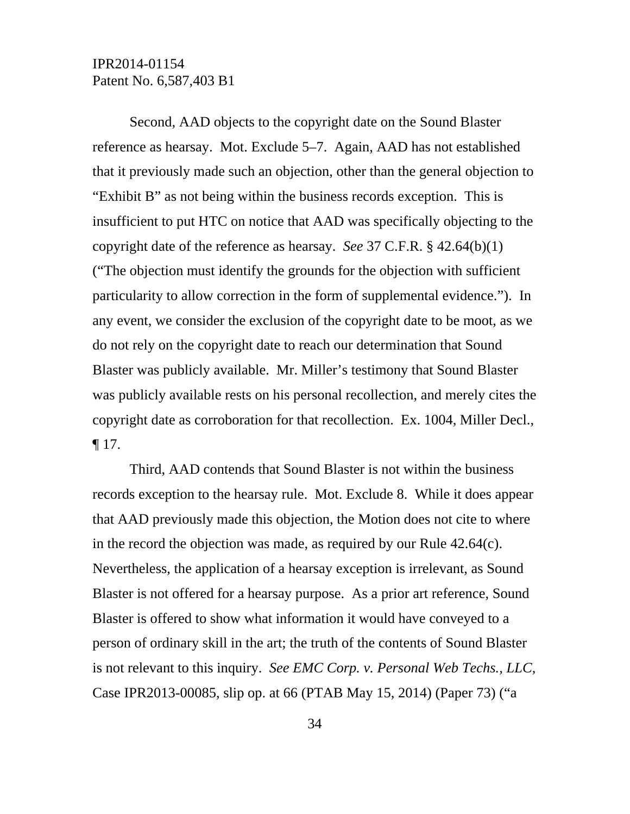Second, AAD objects to the copyright date on the Sound Blaster reference as hearsay. Mot. Exclude 5–7. Again, AAD has not established that it previously made such an objection, other than the general objection to "Exhibit B" as not being within the business records exception. This is insufficient to put HTC on notice that AAD was specifically objecting to the copyright date of the reference as hearsay. *See* 37 C.F.R. § 42.64(b)(1) ("The objection must identify the grounds for the objection with sufficient particularity to allow correction in the form of supplemental evidence."). In any event, we consider the exclusion of the copyright date to be moot, as we do not rely on the copyright date to reach our determination that Sound Blaster was publicly available. Mr. Miller's testimony that Sound Blaster was publicly available rests on his personal recollection, and merely cites the copyright date as corroboration for that recollection. Ex. 1004, Miller Decl.,  $\P$  17.

Third, AAD contends that Sound Blaster is not within the business records exception to the hearsay rule. Mot. Exclude 8. While it does appear that AAD previously made this objection, the Motion does not cite to where in the record the objection was made, as required by our Rule 42.64(c). Nevertheless, the application of a hearsay exception is irrelevant, as Sound Blaster is not offered for a hearsay purpose. As a prior art reference, Sound Blaster is offered to show what information it would have conveyed to a person of ordinary skill in the art; the truth of the contents of Sound Blaster is not relevant to this inquiry. *See EMC Corp. v. Personal Web Techs., LLC*, Case IPR2013-00085, slip op. at 66 (PTAB May 15, 2014) (Paper 73) ("a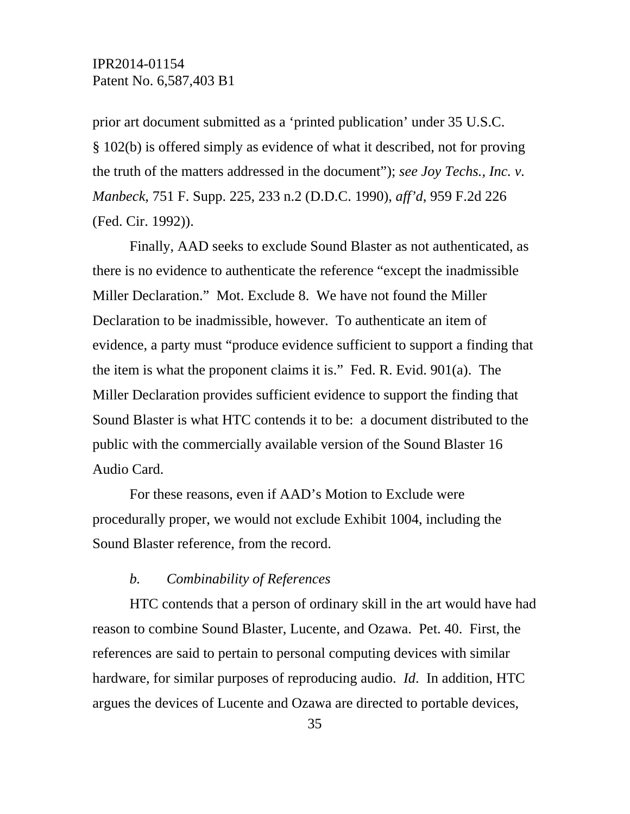prior art document submitted as a 'printed publication' under 35 U.S.C. § 102(b) is offered simply as evidence of what it described, not for proving the truth of the matters addressed in the document"); *see Joy Techs., Inc. v. Manbeck*, 751 F. Supp. 225, 233 n.2 (D.D.C. 1990), *aff'd*, 959 F.2d 226 (Fed. Cir. 1992)).

Finally, AAD seeks to exclude Sound Blaster as not authenticated, as there is no evidence to authenticate the reference "except the inadmissible Miller Declaration." Mot. Exclude 8. We have not found the Miller Declaration to be inadmissible, however. To authenticate an item of evidence, a party must "produce evidence sufficient to support a finding that the item is what the proponent claims it is." Fed. R. Evid. 901(a). The Miller Declaration provides sufficient evidence to support the finding that Sound Blaster is what HTC contends it to be: a document distributed to the public with the commercially available version of the Sound Blaster 16 Audio Card.

For these reasons, even if AAD's Motion to Exclude were procedurally proper, we would not exclude Exhibit 1004, including the Sound Blaster reference, from the record.

#### *b. Combinability of References*

HTC contends that a person of ordinary skill in the art would have had reason to combine Sound Blaster, Lucente, and Ozawa. Pet. 40. First, the references are said to pertain to personal computing devices with similar hardware, for similar purposes of reproducing audio. *Id*. In addition, HTC argues the devices of Lucente and Ozawa are directed to portable devices,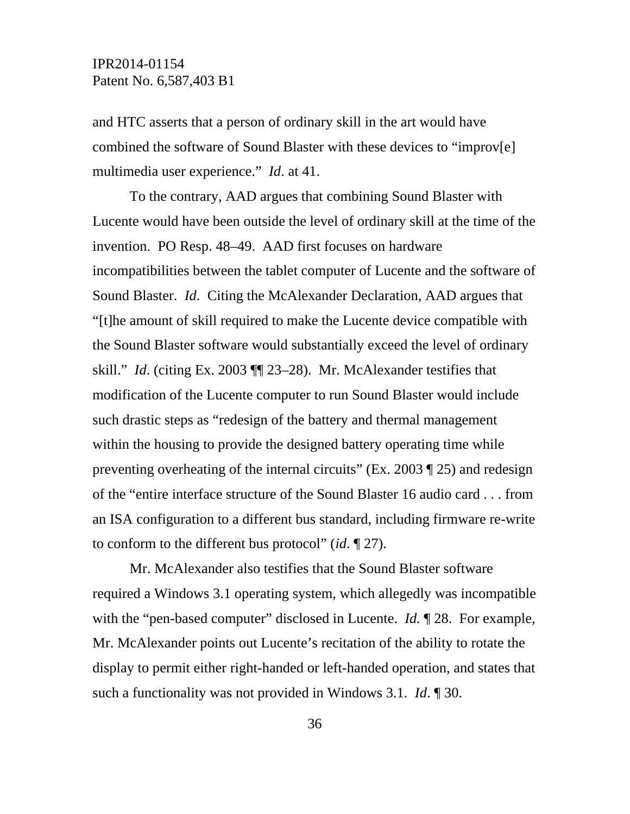and HTC asserts that a person of ordinary skill in the art would have combined the software of Sound Blaster with these devices to "improv[e] multimedia user experience." *Id*. at 41.

To the contrary, AAD argues that combining Sound Blaster with Lucente would have been outside the level of ordinary skill at the time of the invention. PO Resp. 48–49. AAD first focuses on hardware incompatibilities between the tablet computer of Lucente and the software of Sound Blaster. *Id*. Citing the McAlexander Declaration, AAD argues that "[t]he amount of skill required to make the Lucente device compatible with the Sound Blaster software would substantially exceed the level of ordinary skill." *Id*. (citing Ex. 2003 ¶¶ 23–28). Mr. McAlexander testifies that modification of the Lucente computer to run Sound Blaster would include such drastic steps as "redesign of the battery and thermal management within the housing to provide the designed battery operating time while preventing overheating of the internal circuits" (Ex. 2003 ¶ 25) and redesign of the "entire interface structure of the Sound Blaster 16 audio card . . . from an ISA configuration to a different bus standard, including firmware re-write to conform to the different bus protocol" (*id*. ¶ 27).

Mr. McAlexander also testifies that the Sound Blaster software required a Windows 3.1 operating system, which allegedly was incompatible with the "pen-based computer" disclosed in Lucente. *Id.* 128. For example, Mr. McAlexander points out Lucente's recitation of the ability to rotate the display to permit either right-handed or left-handed operation, and states that such a functionality was not provided in Windows 3.1. *Id*. ¶ 30.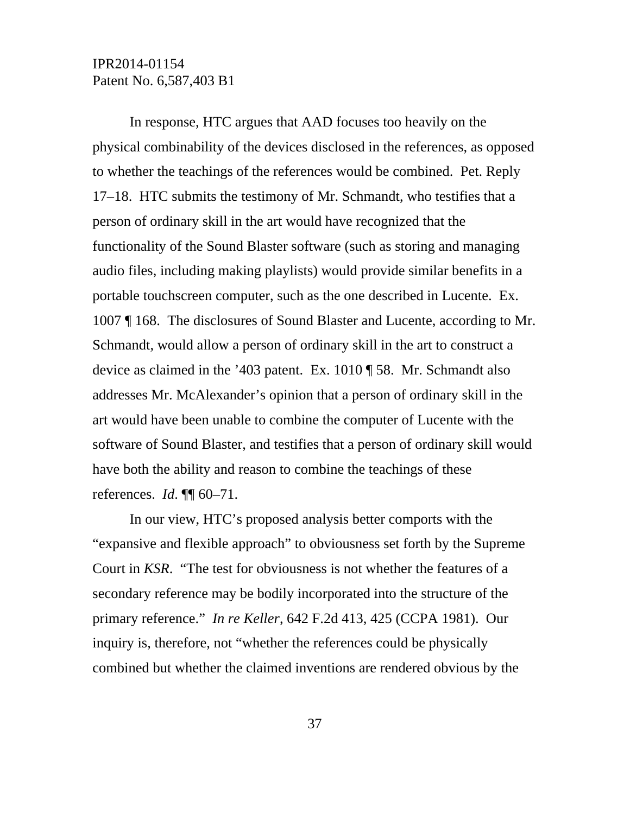In response, HTC argues that AAD focuses too heavily on the physical combinability of the devices disclosed in the references, as opposed to whether the teachings of the references would be combined. Pet. Reply 17–18. HTC submits the testimony of Mr. Schmandt, who testifies that a person of ordinary skill in the art would have recognized that the functionality of the Sound Blaster software (such as storing and managing audio files, including making playlists) would provide similar benefits in a portable touchscreen computer, such as the one described in Lucente. Ex. 1007 ¶ 168. The disclosures of Sound Blaster and Lucente, according to Mr. Schmandt, would allow a person of ordinary skill in the art to construct a device as claimed in the '403 patent. Ex. 1010 ¶ 58. Mr. Schmandt also addresses Mr. McAlexander's opinion that a person of ordinary skill in the art would have been unable to combine the computer of Lucente with the software of Sound Blaster, and testifies that a person of ordinary skill would have both the ability and reason to combine the teachings of these references. *Id*. ¶¶ 60–71.

In our view, HTC's proposed analysis better comports with the "expansive and flexible approach" to obviousness set forth by the Supreme Court in *KSR*. "The test for obviousness is not whether the features of a secondary reference may be bodily incorporated into the structure of the primary reference." *In re Keller*, 642 F.2d 413, 425 (CCPA 1981). Our inquiry is, therefore, not "whether the references could be physically combined but whether the claimed inventions are rendered obvious by the

37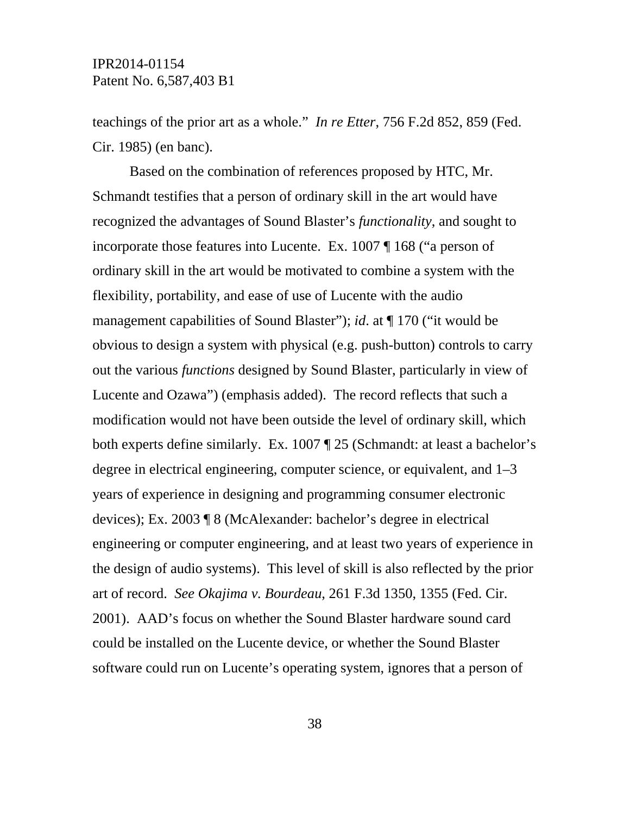teachings of the prior art as a whole." *In re Etter*, 756 F.2d 852, 859 (Fed. Cir. 1985) (en banc).

Based on the combination of references proposed by HTC, Mr. Schmandt testifies that a person of ordinary skill in the art would have recognized the advantages of Sound Blaster's *functionality*, and sought to incorporate those features into Lucente. Ex. 1007 ¶ 168 ("a person of ordinary skill in the art would be motivated to combine a system with the flexibility, portability, and ease of use of Lucente with the audio management capabilities of Sound Blaster"); *id*. at ¶ 170 ("it would be obvious to design a system with physical (e.g. push-button) controls to carry out the various *functions* designed by Sound Blaster, particularly in view of Lucente and Ozawa") (emphasis added). The record reflects that such a modification would not have been outside the level of ordinary skill, which both experts define similarly. Ex. 1007 ¶ 25 (Schmandt: at least a bachelor's degree in electrical engineering, computer science, or equivalent, and 1–3 years of experience in designing and programming consumer electronic devices); Ex. 2003 ¶ 8 (McAlexander: bachelor's degree in electrical engineering or computer engineering, and at least two years of experience in the design of audio systems). This level of skill is also reflected by the prior art of record. *See Okajima v. Bourdeau*, 261 F.3d 1350, 1355 (Fed. Cir. 2001). AAD's focus on whether the Sound Blaster hardware sound card could be installed on the Lucente device, or whether the Sound Blaster software could run on Lucente's operating system, ignores that a person of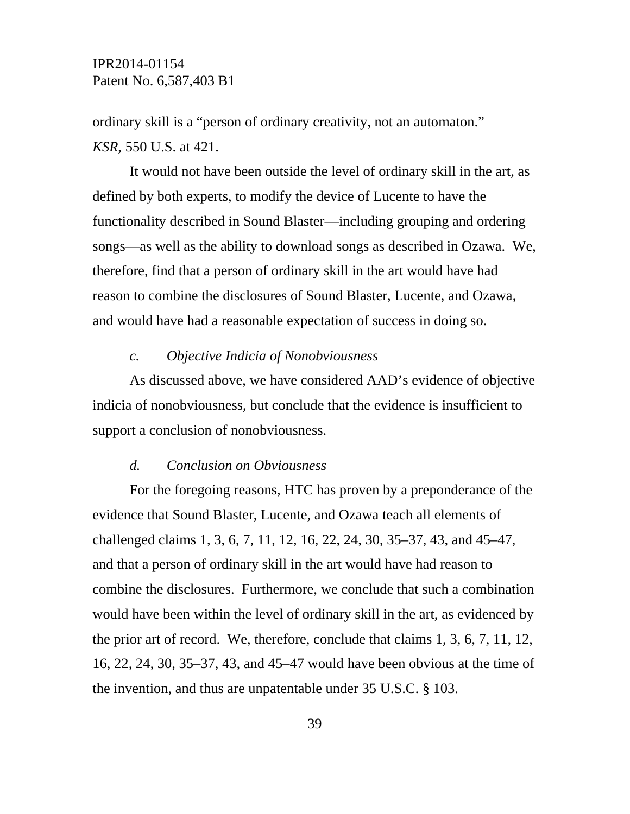ordinary skill is a "person of ordinary creativity, not an automaton." *KSR*, 550 U.S. at 421.

It would not have been outside the level of ordinary skill in the art, as defined by both experts, to modify the device of Lucente to have the functionality described in Sound Blaster—including grouping and ordering songs—as well as the ability to download songs as described in Ozawa. We, therefore, find that a person of ordinary skill in the art would have had reason to combine the disclosures of Sound Blaster, Lucente, and Ozawa, and would have had a reasonable expectation of success in doing so.

#### *c. Objective Indicia of Nonobviousness*

As discussed above, we have considered AAD's evidence of objective indicia of nonobviousness, but conclude that the evidence is insufficient to support a conclusion of nonobviousness.

#### *d. Conclusion on Obviousness*

For the foregoing reasons, HTC has proven by a preponderance of the evidence that Sound Blaster, Lucente, and Ozawa teach all elements of challenged claims 1, 3, 6, 7, 11, 12, 16, 22, 24, 30, 35–37, 43, and 45–47, and that a person of ordinary skill in the art would have had reason to combine the disclosures. Furthermore, we conclude that such a combination would have been within the level of ordinary skill in the art, as evidenced by the prior art of record. We, therefore, conclude that claims 1, 3, 6, 7, 11, 12, 16, 22, 24, 30, 35–37, 43, and 45–47 would have been obvious at the time of the invention, and thus are unpatentable under 35 U.S.C. § 103.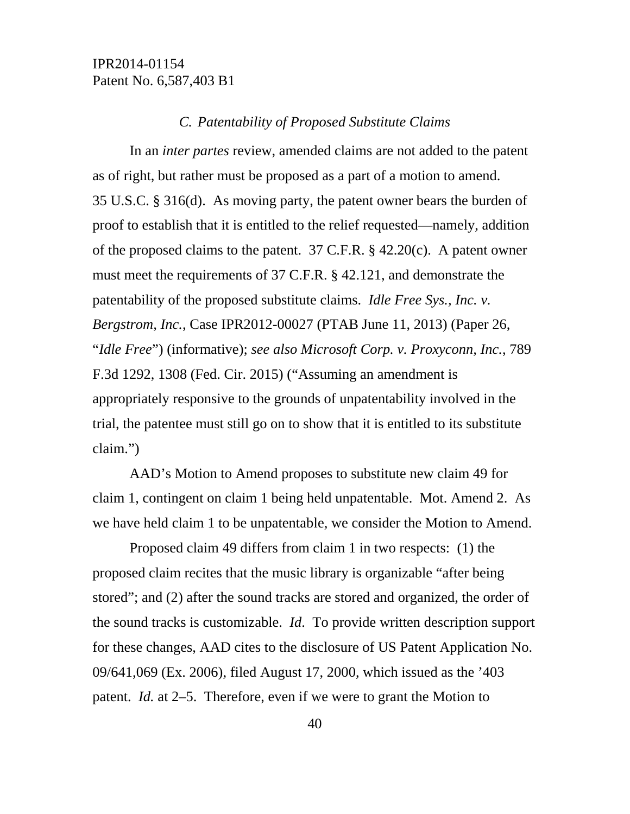#### *C. Patentability of Proposed Substitute Claims*

In an *inter partes* review, amended claims are not added to the patent as of right, but rather must be proposed as a part of a motion to amend. 35 U.S.C. § 316(d). As moving party, the patent owner bears the burden of proof to establish that it is entitled to the relief requested—namely, addition of the proposed claims to the patent.  $37$  C.F.R. § 42.20(c). A patent owner must meet the requirements of 37 C.F.R. § 42.121, and demonstrate the patentability of the proposed substitute claims. *Idle Free Sys., Inc. v. Bergstrom, Inc.*, Case IPR2012-00027 (PTAB June 11, 2013) (Paper 26, "*Idle Free*") (informative); *see also Microsoft Corp. v. Proxyconn, Inc.*, 789 F.3d 1292, 1308 (Fed. Cir. 2015) ("Assuming an amendment is appropriately responsive to the grounds of unpatentability involved in the trial, the patentee must still go on to show that it is entitled to its substitute claim.")

AAD's Motion to Amend proposes to substitute new claim 49 for claim 1, contingent on claim 1 being held unpatentable. Mot. Amend 2. As we have held claim 1 to be unpatentable, we consider the Motion to Amend.

Proposed claim 49 differs from claim 1 in two respects: (1) the proposed claim recites that the music library is organizable "after being stored"; and (2) after the sound tracks are stored and organized, the order of the sound tracks is customizable. *Id*. To provide written description support for these changes, AAD cites to the disclosure of US Patent Application No. 09/641,069 (Ex. 2006), filed August 17, 2000, which issued as the '403 patent. *Id.* at 2–5. Therefore, even if we were to grant the Motion to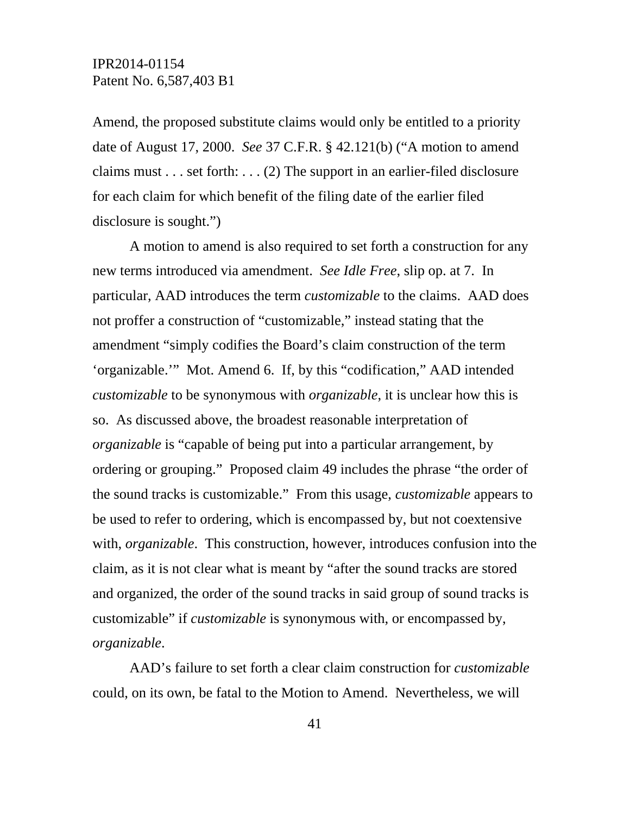Amend, the proposed substitute claims would only be entitled to a priority date of August 17, 2000. *See* 37 C.F.R. § 42.121(b) ("A motion to amend claims must . . . set forth: . . . (2) The support in an earlier-filed disclosure for each claim for which benefit of the filing date of the earlier filed disclosure is sought.")

A motion to amend is also required to set forth a construction for any new terms introduced via amendment. *See Idle Free*, slip op. at 7. In particular, AAD introduces the term *customizable* to the claims. AAD does not proffer a construction of "customizable," instead stating that the amendment "simply codifies the Board's claim construction of the term 'organizable.'" Mot. Amend 6. If, by this "codification," AAD intended *customizable* to be synonymous with *organizable*, it is unclear how this is so. As discussed above, the broadest reasonable interpretation of *organizable* is "capable of being put into a particular arrangement, by ordering or grouping." Proposed claim 49 includes the phrase "the order of the sound tracks is customizable." From this usage, *customizable* appears to be used to refer to ordering, which is encompassed by, but not coextensive with, *organizable*. This construction, however, introduces confusion into the claim, as it is not clear what is meant by "after the sound tracks are stored and organized, the order of the sound tracks in said group of sound tracks is customizable" if *customizable* is synonymous with, or encompassed by, *organizable*.

AAD's failure to set forth a clear claim construction for *customizable* could, on its own, be fatal to the Motion to Amend. Nevertheless, we will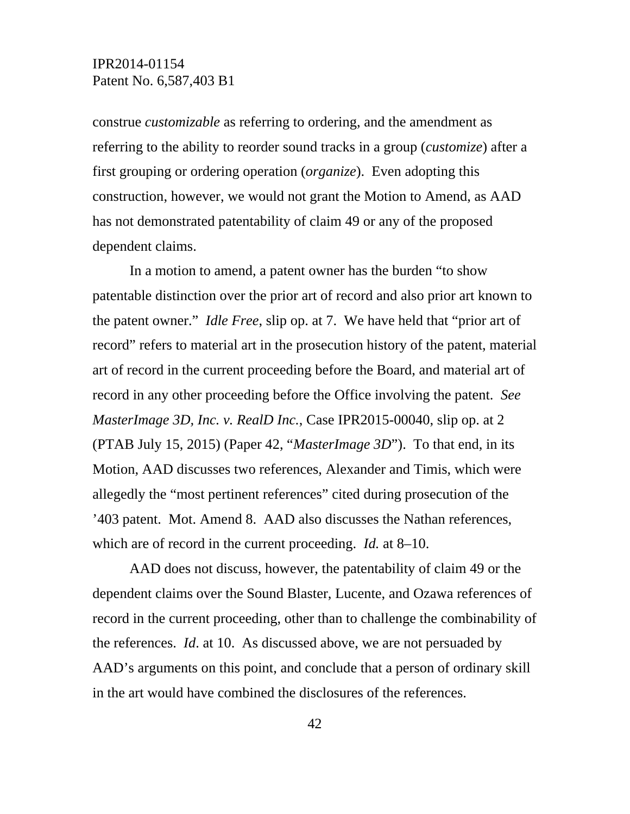construe *customizable* as referring to ordering, and the amendment as referring to the ability to reorder sound tracks in a group (*customize*) after a first grouping or ordering operation (*organize*). Even adopting this construction, however, we would not grant the Motion to Amend, as AAD has not demonstrated patentability of claim 49 or any of the proposed dependent claims.

In a motion to amend, a patent owner has the burden "to show patentable distinction over the prior art of record and also prior art known to the patent owner." *Idle Free*, slip op. at 7. We have held that "prior art of record" refers to material art in the prosecution history of the patent, material art of record in the current proceeding before the Board, and material art of record in any other proceeding before the Office involving the patent. *See MasterImage 3D, Inc. v. RealD Inc.*, Case IPR2015-00040, slip op. at 2 (PTAB July 15, 2015) (Paper 42, "*MasterImage 3D*"). To that end, in its Motion, AAD discusses two references, Alexander and Timis, which were allegedly the "most pertinent references" cited during prosecution of the '403 patent. Mot. Amend 8. AAD also discusses the Nathan references, which are of record in the current proceeding. *Id.* at 8–10.

AAD does not discuss, however, the patentability of claim 49 or the dependent claims over the Sound Blaster, Lucente, and Ozawa references of record in the current proceeding, other than to challenge the combinability of the references. *Id*. at 10. As discussed above, we are not persuaded by AAD's arguments on this point, and conclude that a person of ordinary skill in the art would have combined the disclosures of the references.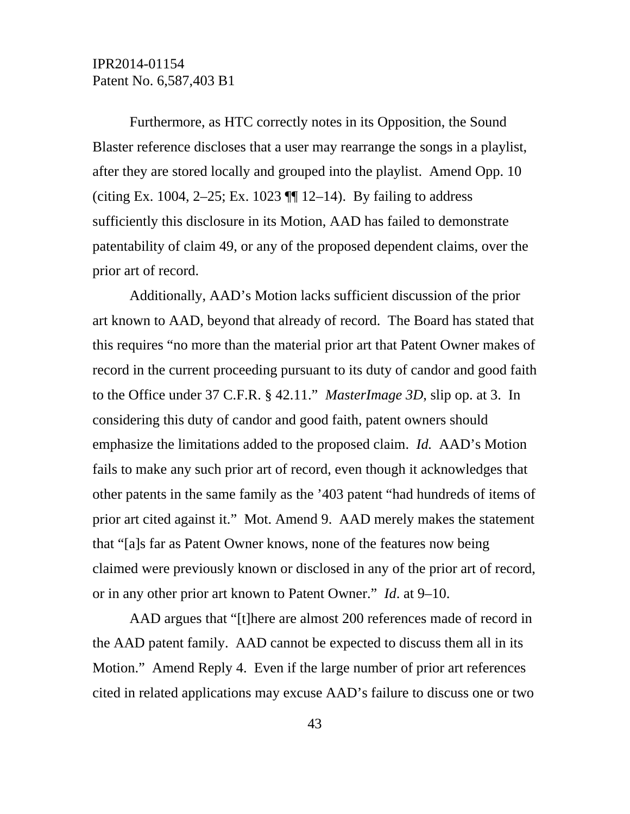Furthermore, as HTC correctly notes in its Opposition, the Sound Blaster reference discloses that a user may rearrange the songs in a playlist, after they are stored locally and grouped into the playlist. Amend Opp. 10 (citing Ex. 1004, 2–25; Ex. 1023  $\P$  12–14). By failing to address sufficiently this disclosure in its Motion, AAD has failed to demonstrate patentability of claim 49, or any of the proposed dependent claims, over the prior art of record.

Additionally, AAD's Motion lacks sufficient discussion of the prior art known to AAD, beyond that already of record. The Board has stated that this requires "no more than the material prior art that Patent Owner makes of record in the current proceeding pursuant to its duty of candor and good faith to the Office under 37 C.F.R. § 42.11." *MasterImage 3D*, slip op. at 3. In considering this duty of candor and good faith, patent owners should emphasize the limitations added to the proposed claim. *Id.* AAD's Motion fails to make any such prior art of record, even though it acknowledges that other patents in the same family as the '403 patent "had hundreds of items of prior art cited against it." Mot. Amend 9. AAD merely makes the statement that "[a]s far as Patent Owner knows, none of the features now being claimed were previously known or disclosed in any of the prior art of record, or in any other prior art known to Patent Owner." *Id*. at 9–10.

AAD argues that "[t]here are almost 200 references made of record in the AAD patent family. AAD cannot be expected to discuss them all in its Motion." Amend Reply 4. Even if the large number of prior art references cited in related applications may excuse AAD's failure to discuss one or two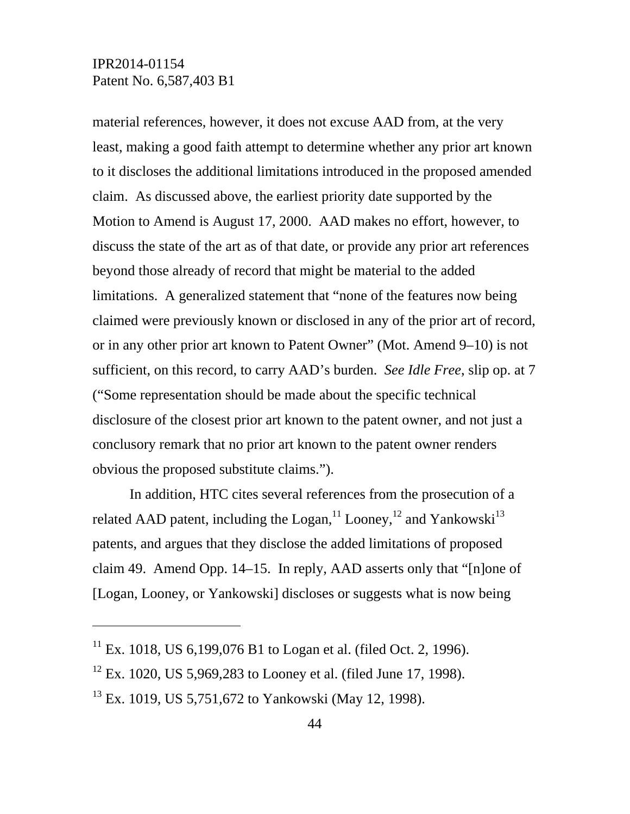-

material references, however, it does not excuse AAD from, at the very least, making a good faith attempt to determine whether any prior art known to it discloses the additional limitations introduced in the proposed amended claim. As discussed above, the earliest priority date supported by the Motion to Amend is August 17, 2000. AAD makes no effort, however, to discuss the state of the art as of that date, or provide any prior art references beyond those already of record that might be material to the added limitations. A generalized statement that "none of the features now being claimed were previously known or disclosed in any of the prior art of record, or in any other prior art known to Patent Owner" (Mot. Amend 9–10) is not sufficient, on this record, to carry AAD's burden. *See Idle Free*, slip op. at 7 ("Some representation should be made about the specific technical disclosure of the closest prior art known to the patent owner, and not just a conclusory remark that no prior art known to the patent owner renders obvious the proposed substitute claims.").

In addition, HTC cites several references from the prosecution of a related AAD patent, including the  $Logan<sup>11</sup> Looney<sup>12</sup>$  and Yankowski<sup>13</sup> patents, and argues that they disclose the added limitations of proposed claim 49. Amend Opp. 14–15. In reply, AAD asserts only that "[n]one of [Logan, Looney, or Yankowski] discloses or suggests what is now being

<sup>&</sup>lt;sup>11</sup> Ex. 1018, US 6,199,076 B1 to Logan et al. (filed Oct. 2, 1996).

 $12$  Ex. 1020, US 5,969,283 to Looney et al. (filed June 17, 1998).

 $^{13}$  Ex. 1019, US 5,751,672 to Yankowski (May 12, 1998).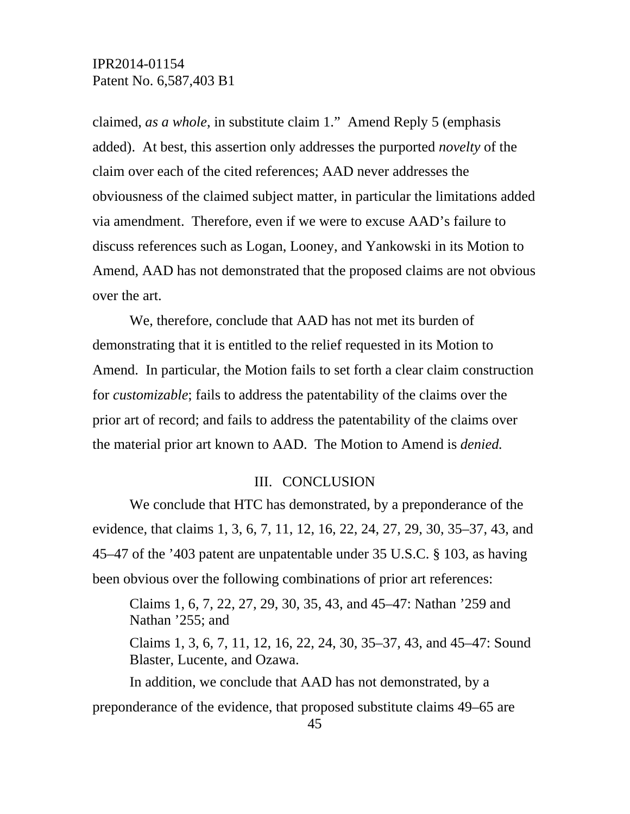claimed, *as a whole*, in substitute claim 1." Amend Reply 5 (emphasis added). At best, this assertion only addresses the purported *novelty* of the claim over each of the cited references; AAD never addresses the obviousness of the claimed subject matter, in particular the limitations added via amendment. Therefore, even if we were to excuse AAD's failure to discuss references such as Logan, Looney, and Yankowski in its Motion to Amend, AAD has not demonstrated that the proposed claims are not obvious over the art.

We, therefore, conclude that AAD has not met its burden of demonstrating that it is entitled to the relief requested in its Motion to Amend. In particular, the Motion fails to set forth a clear claim construction for *customizable*; fails to address the patentability of the claims over the prior art of record; and fails to address the patentability of the claims over the material prior art known to AAD. The Motion to Amend is *denied.*

#### III. CONCLUSION

We conclude that HTC has demonstrated, by a preponderance of the evidence, that claims 1, 3, 6, 7, 11, 12, 16, 22, 24, 27, 29, 30, 35–37, 43, and 45–47 of the '403 patent are unpatentable under 35 U.S.C. § 103, as having been obvious over the following combinations of prior art references:

Claims 1, 6, 7, 22, 27, 29, 30, 35, 43, and 45–47: Nathan '259 and Nathan '255; and

Claims 1, 3, 6, 7, 11, 12, 16, 22, 24, 30, 35–37, 43, and 45–47: Sound Blaster, Lucente, and Ozawa.

In addition, we conclude that AAD has not demonstrated, by a preponderance of the evidence, that proposed substitute claims 49–65 are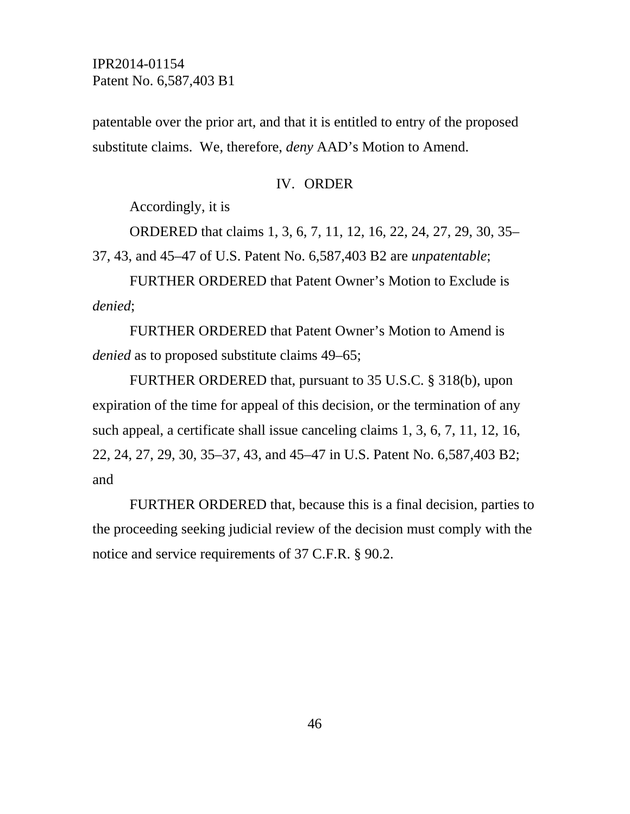patentable over the prior art, and that it is entitled to entry of the proposed substitute claims. We, therefore, *deny* AAD's Motion to Amend.

#### IV. ORDER

Accordingly, it is

ORDERED that claims 1, 3, 6, 7, 11, 12, 16, 22, 24, 27, 29, 30, 35–

37, 43, and 45–47 of U.S. Patent No. 6,587,403 B2 are *unpatentable*;

FURTHER ORDERED that Patent Owner's Motion to Exclude is *denied*;

FURTHER ORDERED that Patent Owner's Motion to Amend is *denied* as to proposed substitute claims 49–65;

FURTHER ORDERED that, pursuant to 35 U.S.C. § 318(b), upon expiration of the time for appeal of this decision, or the termination of any such appeal, a certificate shall issue canceling claims 1, 3, 6, 7, 11, 12, 16, 22, 24, 27, 29, 30, 35–37, 43, and 45–47 in U.S. Patent No. 6,587,403 B2; and

FURTHER ORDERED that, because this is a final decision, parties to the proceeding seeking judicial review of the decision must comply with the notice and service requirements of 37 C.F.R. § 90.2.